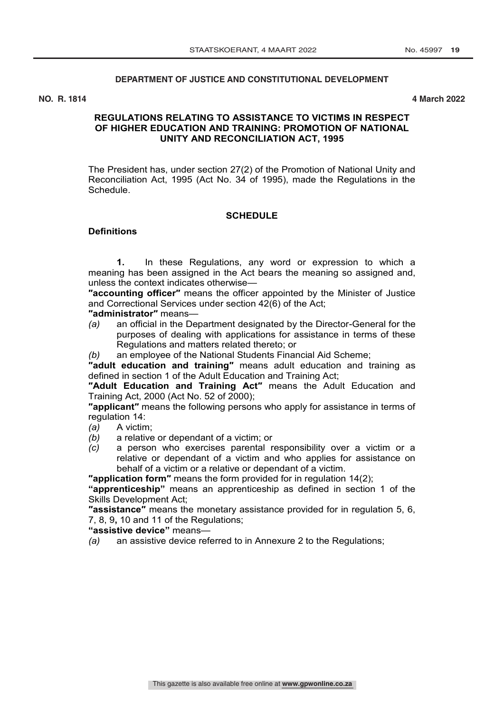## **DEPARTMENT OF JUSTICE AND CONSTITUTIONAL DEVELOPMENT**

**NO. R. 1814 4 March 2022**

## **REGULATIONS RELATING TO ASSISTANCE TO VICTIMS IN RESPECT OF HIGHER EDUCATION AND TRAINING: PROMOTION OF NATIONAL UNITY AND RECONCILIATION ACT, 1995**

The President has, under section 27(2) of the Promotion of National Unity and Reconciliation Act, 1995 (Act No. 34 of 1995), made the Regulations in the Schedule.

#### **SCHEDULE**

## **Definitions**

**1.** In these Regulations, any word or expression to which a meaning has been assigned in the Act bears the meaning so assigned and, unless the context indicates otherwise—

**″accounting officer″** means the officer appointed by the Minister of Justice and Correctional Services under section 42(6) of the Act;

*administrator"* means-<br>(a) an official in the D

*(a)* an official in the Department designated by the Director-General for the purposes of dealing with applications for assistance in terms of these Regulations and matters related thereto; or

*(b)* an employee of the National Students Financial Aid Scheme;

**″adult education and training″** means adult education and training as defined in section 1 of the Adult Education and Training Act;

**″Adult Education and Training Act″** means the Adult Education and Training Act, 2000 (Act No. 52 of 2000);

**″applicant″** means the following persons who apply for assistance in terms of regulation 14:

- *(a)* A victim;
- *(b)* a relative or dependant of a victim; or
- *(c)* a person who exercises parental responsibility over a victim or a relative or dependant of a victim and who applies for assistance on behalf of a victim or a relative or dependant of a victim.

**″application form″** means the form provided for in regulation 14(2);

**"apprenticeship"** means an apprenticeship as defined in section 1 of the Skills Development Act;

**″assistance″** means the monetary assistance provided for in regulation 5, 6, 7, 8, 9**,** 10 and 11 of the Regulations;

**"assistive device"** means—

*(a)* an assistive device referred to in Annexure 2 to the Regulations;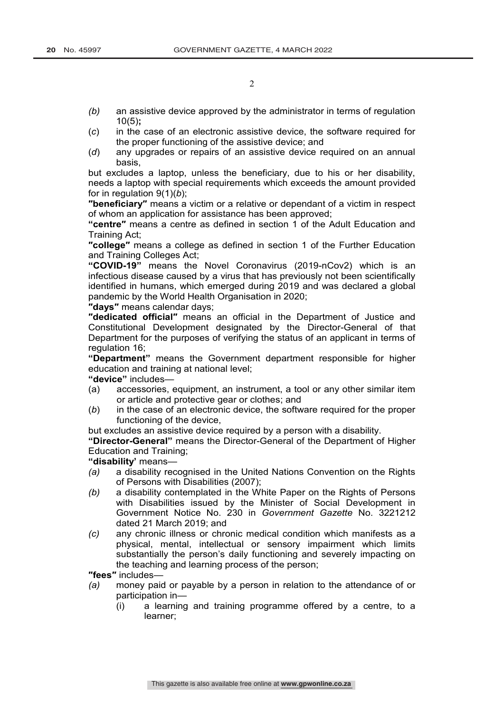- *(b)* an assistive device approved by the administrator in terms of regulation 10(5)**;**
- (*c*) in the case of an electronic assistive device, the software required for the proper functioning of the assistive device; and
- (*d*) any upgrades or repairs of an assistive device required on an annual basis,

but excludes a laptop, unless the beneficiary, due to his or her disability, needs a laptop with special requirements which exceeds the amount provided for in regulation 9(1)(*b*);

**″beneficiary″** means a victim or a relative or dependant of a victim in respect of whom an application for assistance has been approved;

**"centre″** means a centre as defined in section 1 of the Adult Education and Training Act;

**″college″** means a college as defined in section 1 of the Further Education and Training Colleges Act;

**"COVID-19"** means the Novel Coronavirus (2019-nCov2) which is an infectious disease caused by a virus that has previously not been scientifically identified in humans, which emerged during 2019 and was declared a global pandemic by the World Health Organisation in 2020;

**″days″** means calendar days;

**″dedicated official″** means an official in the Department of Justice and Constitutional Development designated by the Director-General of that Department for the purposes of verifying the status of an applicant in terms of regulation 16;

**"Department"** means the Government department responsible for higher education and training at national level;

**"device"** includes—

- (a) accessories, equipment, an instrument, a tool or any other similar item or article and protective gear or clothes; and
- (*b*) in the case of an electronic device, the software required for the proper functioning of the device,

but excludes an assistive device required by a person with a disability.

**"Director-General"** means the Director-General of the Department of Higher Education and Training;

**"disability'** means—

- *(a)* a disability recognised in the United Nations Convention on the Rights of Persons with Disabilities (2007);
- *(b)* a disability contemplated in the White Paper on the Rights of Persons with Disabilities issued by the Minister of Social Development in Government Notice No. 230 in *Government Gazette* No. 3221212 dated 21 March 2019; and
- *(c)* any chronic illness or chronic medical condition which manifests as a physical, mental, intellectual or sensory impairment which limits substantially the person's daily functioning and severely impacting on the teaching and learning process of the person;

**″fees″** includes—

- *(a)* money paid or payable by a person in relation to the attendance of or participation in—
	- (i) a learning and training programme offered by a centre, to a learner;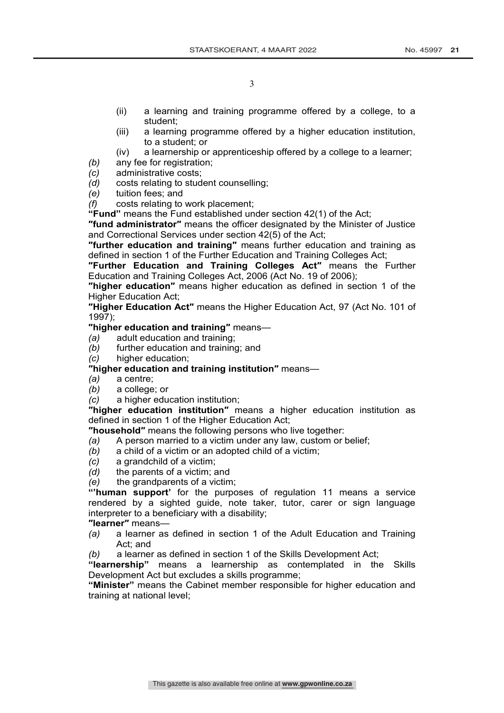- (ii) a learning and training programme offered by a college, to a student;
- (iii) a learning programme offered by a higher education institution, to a student; or
- (iv) a learnership or apprenticeship offered by a college to a learner;
- *(b)* any fee for registration;
- *(c)* administrative costs;
- *(d)* costs relating to student counselling;
- *(e)* tuition fees; and
- *(f)* costs relating to work placement;

**"Fund"** means the Fund established under section 42(1) of the Act;

**″fund administrator″** means the officer designated by the Minister of Justice and Correctional Services under section 42(5) of the Act;

**″further education and training″** means further education and training as defined in section 1 of the Further Education and Training Colleges Act;

**″Further Education and Training Colleges Act″** means the Further Education and Training Colleges Act, 2006 (Act No. 19 of 2006);

**″higher education″** means higher education as defined in section 1 of the Higher Education Act;

**″Higher Education Act″** means the Higher Education Act, 97 (Act No. 101 of 1997);

**″higher education and training″** means—

- *(a)* adult education and training;
- *(b)* further education and training; and
- *(c)* higher education;

## **″higher education and training institution″** means—

- *(a)* a centre;
- *(b)* a college; or
- *(c)* a higher education institution;

**″higher education institution″** means a higher education institution as defined in section 1 of the Higher Education Act;

- **″household″** means the following persons who live together:
- *(a)* A person married to a victim under any law, custom or belief;
- *(b)* a child of a victim or an adopted child of a victim;
- *(c)* a grandchild of a victim;
- *(d)* the parents of a victim; and
- *(e)* the grandparents of a victim;

**"'human support'** for the purposes of regulation 11 means a service rendered by a sighted guide, note taker, tutor, carer or sign language interpreter to a beneficiary with a disability;

**″learner″** means—

- *(a)* a learner as defined in section 1 of the Adult Education and Training Act; and
- *(b)* a learner as defined in section 1 of the Skills Development Act;

**"learnership"** means a learnership as contemplated in the Skills Development Act but excludes a skills programme;

**"Minister"** means the Cabinet member responsible for higher education and training at national level;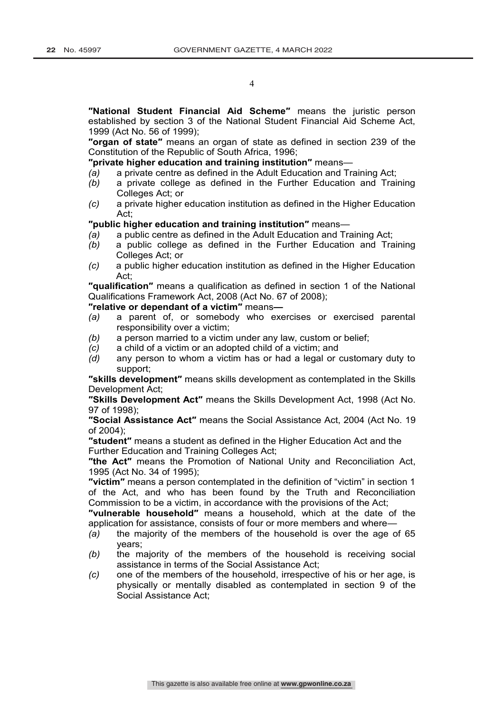**″National Student Financial Aid Scheme″** means the juristic person established by section 3 of the National Student Financial Aid Scheme Act, 1999 (Act No. 56 of 1999);

**″organ of state″** means an organ of state as defined in section 239 of the Constitution of the Republic of South Africa, 1996;

**″private higher education and training institution″** means—

- *(a)* a private centre as defined in the Adult Education and Training Act;
- *(b)* a private college as defined in the Further Education and Training Colleges Act; or
- *(c)* a private higher education institution as defined in the Higher Education Act;

## **″public higher education and training institution″** means—

- *(a)* a public centre as defined in the Adult Education and Training Act;
- *(b)* a public college as defined in the Further Education and Training Colleges Act; or
- *(c)* a public higher education institution as defined in the Higher Education Act;

**″qualification″** means a qualification as defined in section 1 of the National Qualifications Framework Act, 2008 (Act No. 67 of 2008);

## **″relative or dependant of a victim″** means**—**

- *(a)* a parent of, or somebody who exercises or exercised parental responsibility over a victim;
- *(b)* a person married to a victim under any law, custom or belief;
- *(c)* a child of a victim or an adopted child of a victim; and
- *(d)* any person to whom a victim has or had a legal or customary duty to support;

**″skills development″** means skills development as contemplated in the Skills Development Act;

**″Skills Development Act″** means the Skills Development Act, 1998 (Act No. 97 of 1998);

**″Social Assistance Act″** means the Social Assistance Act, 2004 (Act No. 19 of 2004);

**″student″** means a student as defined in the Higher Education Act and the Further Education and Training Colleges Act;

**″the Act″** means the Promotion of National Unity and Reconciliation Act, 1995 (Act No. 34 of 1995);

**″victim″** means a person contemplated in the definition of "victim" in section 1 of the Act, and who has been found by the Truth and Reconciliation Commission to be a victim, in accordance with the provisions of the Act;

**″vulnerable household″** means a household, which at the date of the application for assistance, consists of four or more members and where—

- *(a)* the majority of the members of the household is over the age of 65 years;
- *(b)* the majority of the members of the household is receiving social assistance in terms of the Social Assistance Act;
- *(c)* one of the members of the household, irrespective of his or her age, is physically or mentally disabled as contemplated in section 9 of the Social Assistance Act;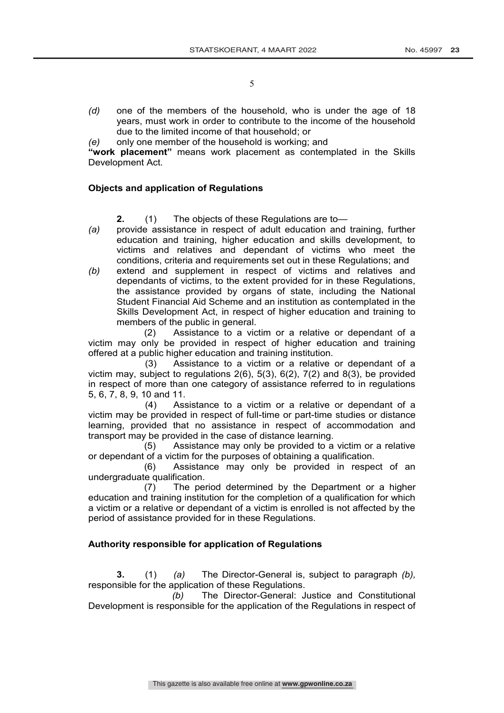- *(d)* one of the members of the household, who is under the age of 18 years, must work in order to contribute to the income of the household due to the limited income of that household; or
- *(e)* only one member of the household is working; and

**"work placement"** means work placement as contemplated in the Skills Development Act.

## **Objects and application of Regulations**

**2.** (1) The objects of these Regulations are to—

- *(a)* provide assistance in respect of adult education and training, further education and training, higher education and skills development, to victims and relatives and dependant of victims who meet the conditions, criteria and requirements set out in these Regulations; and
- *(b)* extend and supplement in respect of victims and relatives and dependants of victims, to the extent provided for in these Regulations, the assistance provided by organs of state, including the National Student Financial Aid Scheme and an institution as contemplated in the Skills Development Act, in respect of higher education and training to members of the public in general.

(2) Assistance to a victim or a relative or dependant of a victim may only be provided in respect of higher education and training offered at a public higher education and training institution.

(3) Assistance to a victim or a relative or dependant of a victim may, subject to regulations 2(6), 5(3), 6(2), 7(2) and 8(3), be provided in respect of more than one category of assistance referred to in regulations 5, 6, 7, 8, 9, 10 and 11.

(4) Assistance to a victim or a relative or dependant of a victim may be provided in respect of full-time or part-time studies or distance learning, provided that no assistance in respect of accommodation and transport may be provided in the case of distance learning.

(5) Assistance may only be provided to a victim or a relative or dependant of a victim for the purposes of obtaining a qualification.

(6) Assistance may only be provided in respect of an undergraduate qualification.

(7) The period determined by the Department or a higher education and training institution for the completion of a qualification for which a victim or a relative or dependant of a victim is enrolled is not affected by the period of assistance provided for in these Regulations.

## **Authority responsible for application of Regulations**

**3.** (1) *(a)* The Director-General is, subject to paragraph *(b),* responsible for the application of these Regulations.

*(b)* The Director-General: Justice and Constitutional Development is responsible for the application of the Regulations in respect of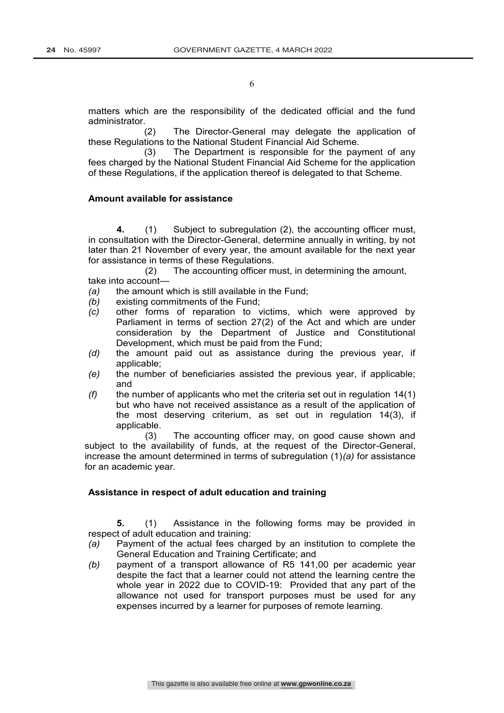matters which are the responsibility of the dedicated official and the fund administrator.

(2) The Director-General may delegate the application of these Regulations to the National Student Financial Aid Scheme.

(3) The Department is responsible for the payment of any fees charged by the National Student Financial Aid Scheme for the application of these Regulations, if the application thereof is delegated to that Scheme.

## **Amount available for assistance**

**4.** (1) Subject to subregulation (2), the accounting officer must, in consultation with the Director-General, determine annually in writing, by not later than 21 November of every year, the amount available for the next year for assistance in terms of these Regulations.

(2) The accounting officer must, in determining the amount, take into account—

- *(a)* the amount which is still available in the Fund;
- *(b)* existing commitments of the Fund;
- *(c)* other forms of reparation to victims, which were approved by Parliament in terms of section 27(2) of the Act and which are under consideration by the Department of Justice and Constitutional Development, which must be paid from the Fund;
- *(d)* the amount paid out as assistance during the previous year, if applicable;
- *(e)* the number of beneficiaries assisted the previous year, if applicable; and
- *(f)* the number of applicants who met the criteria set out in regulation 14(1) but who have not received assistance as a result of the application of the most deserving criterium, as set out in regulation 14(3), if applicable.

(3) The accounting officer may, on good cause shown and subject to the availability of funds, at the request of the Director-General, increase the amount determined in terms of subregulation (1)*(a)* for assistance for an academic year.

## **Assistance in respect of adult education and training**

**5.** (1) Assistance in the following forms may be provided in respect of adult education and training:

- *(a)* Payment of the actual fees charged by an institution to complete the General Education and Training Certificate; and
- *(b)* payment of a transport allowance of R5 141,00 per academic year despite the fact that a learner could not attend the learning centre the whole year in 2022 due to COVID-19: Provided that any part of the allowance not used for transport purposes must be used for any expenses incurred by a learner for purposes of remote learning.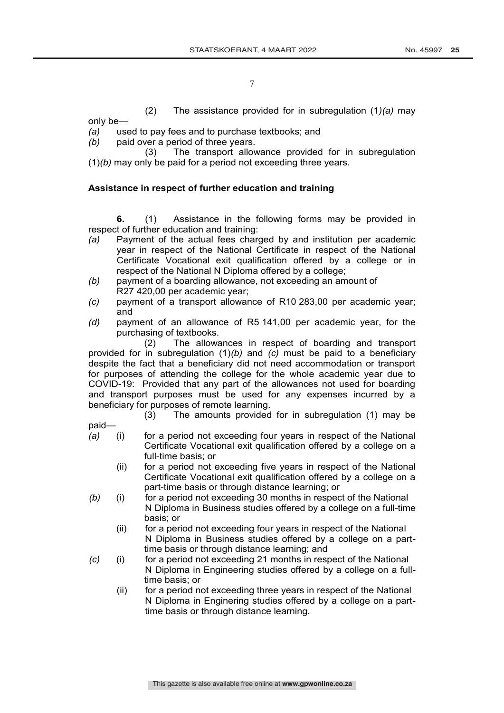(2) The assistance provided for in subregulation (1*)(a)* may only be—

*(a)* used to pay fees and to purchase textbooks; and

*(b)* paid over a period of three years.

(3) The transport allowance provided for in subregulation (1)*(b)* may only be paid for a period not exceeding three years.

## **Assistance in respect of further education and training**

**6.** (1) Assistance in the following forms may be provided in respect of further education and training:

- *(a)* Payment of the actual fees charged by and institution per academic year in respect of the National Certificate in respect of the National Certificate Vocational exit qualification offered by a college or in respect of the National N Diploma offered by a college;
- *(b)* payment of a boarding allowance, not exceeding an amount of R27 420,00 per academic year;
- *(c)* payment of a transport allowance of R10 283,00 per academic year; and
- *(d)* payment of an allowance of R5 141,00 per academic year, for the purchasing of textbooks.

(2) The allowances in respect of boarding and transport provided for in subregulation (1)*(b)* and *(c)* must be paid to a beneficiary despite the fact that a beneficiary did not need accommodation or transport for purposes of attending the college for the whole academic year due to COVID-19: Provided that any part of the allowances not used for boarding and transport purposes must be used for any expenses incurred by a beneficiary for purposes of remote learning.

(3) The amounts provided for in subregulation (1) may be

paid—

- *(a)* (i) for a period not exceeding four years in respect of the National Certificate Vocational exit qualification offered by a college on a full-time basis; or
	- (ii) for a period not exceeding five years in respect of the National Certificate Vocational exit qualification offered by a college on a part-time basis or through distance learning; or
- *(b)* (i) for a period not exceeding 30 months in respect of the National N Diploma in Business studies offered by a college on a full-time basis; or
	- (ii) for a period not exceeding four years in respect of the National N Diploma in Business studies offered by a college on a parttime basis or through distance learning; and
- *(c)* (i) for a period not exceeding 21 months in respect of the National N Diploma in Engineering studies offered by a college on a fulltime basis; or
	- (ii) for a period not exceeding three years in respect of the National N Diploma in Enginering studies offered by a college on a parttime basis or through distance learning.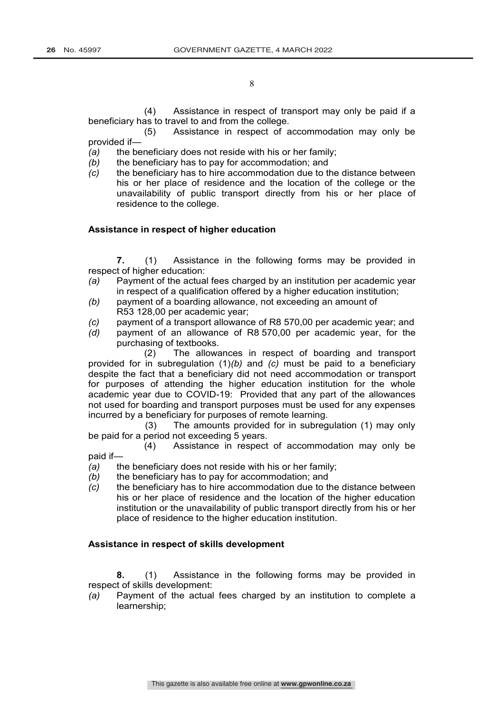(4) Assistance in respect of transport may only be paid if a beneficiary has to travel to and from the college.

(5) Assistance in respect of accommodation may only be provided if—

*(a)* the beneficiary does not reside with his or her family;

- *(b)* the beneficiary has to pay for accommodation; and
- *(c)* the beneficiary has to hire accommodation due to the distance between his or her place of residence and the location of the college or the unavailability of public transport directly from his or her place of residence to the college.

## **Assistance in respect of higher education**

**7.** (1) Assistance in the following forms may be provided in respect of higher education:

- *(a)* Payment of the actual fees charged by an institution per academic year in respect of a qualification offered by a higher education institution;
- *(b)* payment of a boarding allowance, not exceeding an amount of R53 128,00 per academic year;
- *(c)* payment of a transport allowance of R8 570,00 per academic year; and
- *(d)* payment of an allowance of R8 570,00 per academic year, for the purchasing of textbooks.

(2) The allowances in respect of boarding and transport provided for in subregulation (1)*(b)* and *(c)* must be paid to a beneficiary despite the fact that a beneficiary did not need accommodation or transport for purposes of attending the higher education institution for the whole academic year due to COVID-19: Provided that any part of the allowances not used for boarding and transport purposes must be used for any expenses incurred by a beneficiary for purposes of remote learning.

(3) The amounts provided for in subregulation (1) may only be paid for a period not exceeding 5 years.

(4) Assistance in respect of accommodation may only be paid if—

- *(a)* the beneficiary does not reside with his or her family;
- *(b)* the beneficiary has to pay for accommodation; and
- *(c)* the beneficiary has to hire accommodation due to the distance between his or her place of residence and the location of the higher education institution or the unavailability of public transport directly from his or her place of residence to the higher education institution.

## **Assistance in respect of skills development**

**8.** (1) Assistance in the following forms may be provided in respect of skills development:

*(a)* Payment of the actual fees charged by an institution to complete a learnership;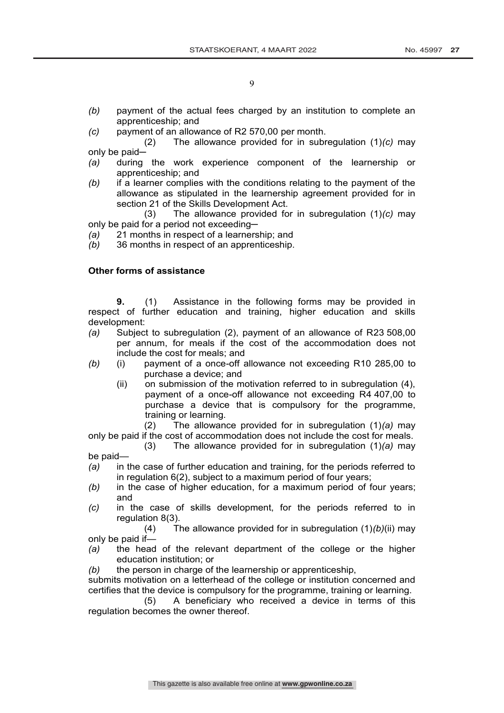- *(b)* payment of the actual fees charged by an institution to complete an apprenticeship; and
- *(c)* payment of an allowance of R2 570,00 per month.
- (2) The allowance provided for in subregulation (1)*(c)* may only be paid-
- *(a)* during the work experience component of the learnership or apprenticeship; and
- *(b)* if a learner complies with the conditions relating to the payment of the allowance as stipulated in the learnership agreement provided for in section 21 of the Skills Development Act.
- (3) The allowance provided for in subregulation (1)*(c)* may only be paid for a period not exceeding-
- *(a)* 21 months in respect of a learnership; and
- *(b)* 36 months in respect of an apprenticeship.

## **Other forms of assistance**

**9.** (1) Assistance in the following forms may be provided in respect of further education and training, higher education and skills development:

- *(a)* Subject to subregulation (2), payment of an allowance of R23 508,00 per annum, for meals if the cost of the accommodation does not include the cost for meals; and
- *(b)* (i) payment of a once-off allowance not exceeding R10 285,00 to purchase a device; and
	- (ii) on submission of the motivation referred to in subregulation (4), payment of a once-off allowance not exceeding R4 407,00 to purchase a device that is compulsory for the programme, training or learning.

(2) The allowance provided for in subregulation (1)*(a)* may only be paid if the cost of accommodation does not include the cost for meals.

- (3) The allowance provided for in subregulation (1)*(a)* may be paid—
- *(a)* in the case of further education and training, for the periods referred to in regulation 6(2), subject to a maximum period of four years;
- *(b)* in the case of higher education, for a maximum period of four years; and
- *(c)* in the case of skills development, for the periods referred to in regulation 8(3).

(4) The allowance provided for in subregulation (1)*(b)*(ii) may only be paid if—

- *(a)* the head of the relevant department of the college or the higher education institution; or
- *(b)* the person in charge of the learnership or apprenticeship,

submits motivation on a letterhead of the college or institution concerned and certifies that the device is compulsory for the programme, training or learning.

(5) A beneficiary who received a device in terms of this regulation becomes the owner thereof.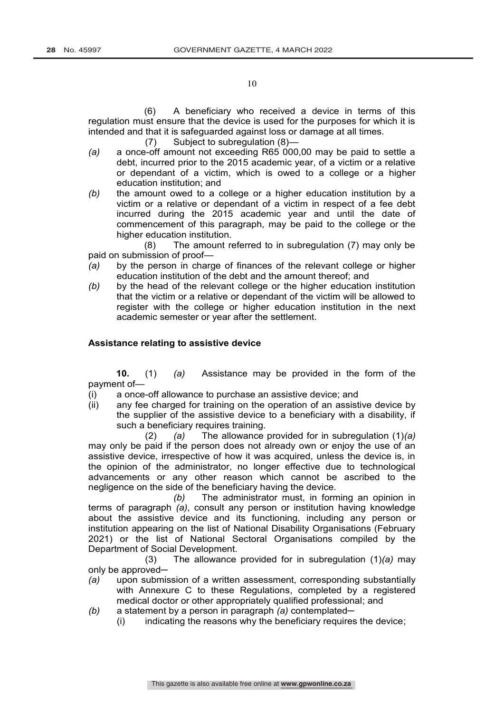(6) A beneficiary who received a device in terms of this regulation must ensure that the device is used for the purposes for which it is intended and that it is safeguarded against loss or damage at all times.

- (7) Subject to subregulation (8)—
- *(a)* a once-off amount not exceeding R65 000,00 may be paid to settle a debt, incurred prior to the 2015 academic year, of a victim or a relative or dependant of a victim, which is owed to a college or a higher education institution; and
- *(b)* the amount owed to a college or a higher education institution by a victim or a relative or dependant of a victim in respect of a fee debt incurred during the 2015 academic year and until the date of commencement of this paragraph, may be paid to the college or the higher education institution.

(8) The amount referred to in subregulation (7) may only be paid on submission of proof—

- *(a)* by the person in charge of finances of the relevant college or higher education institution of the debt and the amount thereof; and
- *(b)* by the head of the relevant college or the higher education institution that the victim or a relative or dependant of the victim will be allowed to register with the college or higher education institution in the next academic semester or year after the settlement.

## **Assistance relating to assistive device**

**10.** (1) *(a)* Assistance may be provided in the form of the payment of—

- (i) a once-off allowance to purchase an assistive device; and
- (ii) any fee charged for training on the operation of an assistive device by the supplier of the assistive device to a beneficiary with a disability, if such a beneficiary requires training.

(2) *(a)* The allowance provided for in subregulation (1)*(a)* may only be paid if the person does not already own or enjoy the use of an assistive device, irrespective of how it was acquired, unless the device is, in the opinion of the administrator, no longer effective due to technological advancements or any other reason which cannot be ascribed to the negligence on the side of the beneficiary having the device.

*(b)* The administrator must, in forming an opinion in terms of paragraph *(a)*, consult any person or institution having knowledge about the assistive device and its functioning, including any person or institution appearing on the list of National Disability Organisations (February 2021) or the list of National Sectoral Organisations compiled by the Department of Social Development.

(3) The allowance provided for in subregulation (1)*(a)* may only be approved-

- *(a)* upon submission of a written assessment, corresponding substantially with Annexure C to these Regulations, completed by a registered medical doctor or other appropriately qualified professional; and
- *(b)* a statement by a person in paragraph *(a)* contemplated—
	- (i) indicating the reasons why the beneficiary requires the device;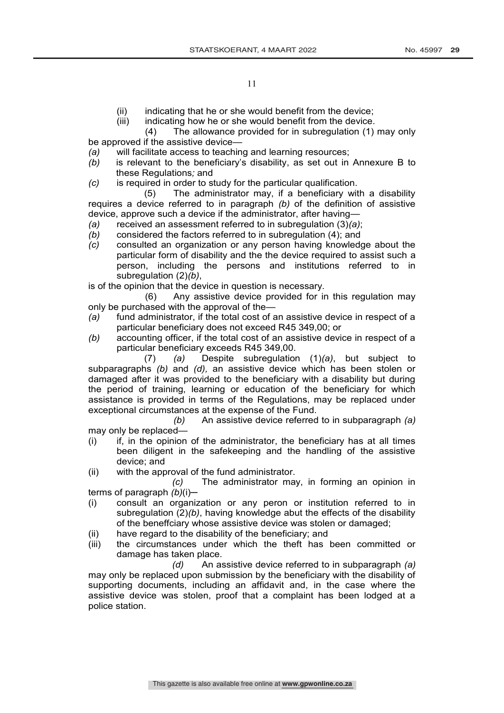- (ii) indicating that he or she would benefit from the device;<br>(iii) indicating how he or she would benefit from the device.
- indicating how he or she would benefit from the device.

(4) The allowance provided for in subregulation (1) may only be approved if the assistive device—

- *(a)* will facilitate access to teaching and learning resources;
- *(b)* is relevant to the beneficiary's disability, as set out in Annexure B to these Regulations*;* and
- *(c)* is required in order to study for the particular qualification.

(5) The administrator may, if a beneficiary with a disability requires a device referred to in paragraph *(b)* of the definition of assistive device, approve such a device if the administrator, after having—

- *(a)* received an assessment referred to in subregulation (3)*(a)*;
- *(b)* considered the factors referred to in subregulation (4); and
- *(c)* consulted an organization or any person having knowledge about the particular form of disability and the the device required to assist such a person, including the persons and institutions referred to in subregulation (2)*(b)*,

is of the opinion that the device in question is necessary.

(6) Any assistive device provided for in this regulation may only be purchased with the approval of the—

- *(a)* fund administrator, if the total cost of an assistive device in respect of a particular beneficiary does not exceed R45 349,00; or
- *(b)* accounting officer, if the total cost of an assistive device in respect of a particular beneficiary exceeds R45 349,00.

(7) *(a)* Despite subregulation (1)*(a)*, but subject to subparagraphs *(b)* and *(d),* an assistive device which has been stolen or damaged after it was provided to the beneficiary with a disability but during the period of training, learning or education of the beneficiary for which assistance is provided in terms of the Regulations, may be replaced under exceptional circumstances at the expense of the Fund.

*(b)* An assistive device referred to in subparagraph *(a)* may only be replaced—

- (i) if, in the opinion of the administrator, the beneficiary has at all times been diligent in the safekeeping and the handling of the assistive device; and
- (ii) with the approval of the fund administrator.

*(c)* The administrator may, in forming an opinion in terms of paragraph *(b)*(i)─

- (i) consult an organization or any peron or institution referred to in subregulation (2)*(b)*, having knowledge abut the effects of the disability of the beneffciary whose assistive device was stolen or damaged;
- (ii) have regard to the disability of the beneficiary; and
- (iii) the circumstances under which the theft has been committed or damage has taken place.

*(d)* An assistive device referred to in subparagraph *(a)* may only be replaced upon submission by the beneficiary with the disability of supporting documents, including an affidavit and, in the case where the assistive device was stolen, proof that a complaint has been lodged at a police station.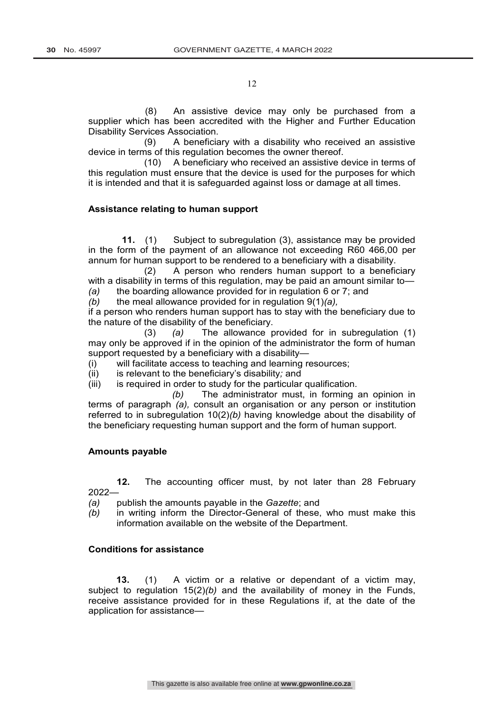(8) An assistive device may only be purchased from a supplier which has been accredited with the Higher and Further Education Disability Services Association.

(9) A beneficiary with a disability who received an assistive device in terms of this regulation becomes the owner thereof.

(10) A beneficiary who received an assistive device in terms of this regulation must ensure that the device is used for the purposes for which it is intended and that it is safeguarded against loss or damage at all times.

## **Assistance relating to human support**

**11.** (1) Subject to subregulation (3), assistance may be provided in the form of the payment of an allowance not exceeding R60 466,00 per annum for human support to be rendered to a beneficiary with a disability.

(2) A person who renders human support to a beneficiary with a disability in terms of this regulation, may be paid an amount similar to— *(a)* the boarding allowance provided for in regulation 6 or 7; and

*(b)* the meal allowance provided for in regulation 9(1)*(a),*

if a person who renders human support has to stay with the beneficiary due to the nature of the disability of the beneficiary.

(3) *(a)* The allowance provided for in subregulation (1) may only be approved if in the opinion of the administrator the form of human support requested by a beneficiary with a disability—

(i) will facilitate access to teaching and learning resources;

(ii) is relevant to the beneficiary's disability*;* and

(iii) is required in order to study for the particular qualification.

*(b)* The administrator must, in forming an opinion in terms of paragraph *(a),* consult an organisation or any person or institution referred to in subregulation 10(2)*(b)* having knowledge about the disability of the beneficiary requesting human support and the form of human support.

## **Amounts payable**

**12.** The accounting officer must, by not later than 28 February 2022—

*(a)* publish the amounts payable in the *Gazette*; and

*(b)* in writing inform the Director-General of these, who must make this information available on the website of the Department.

## **Conditions for assistance**

**13.** (1) A victim or a relative or dependant of a victim may, subject to regulation 15(2)*(b)* and the availability of money in the Funds, receive assistance provided for in these Regulations if, at the date of the application for assistance—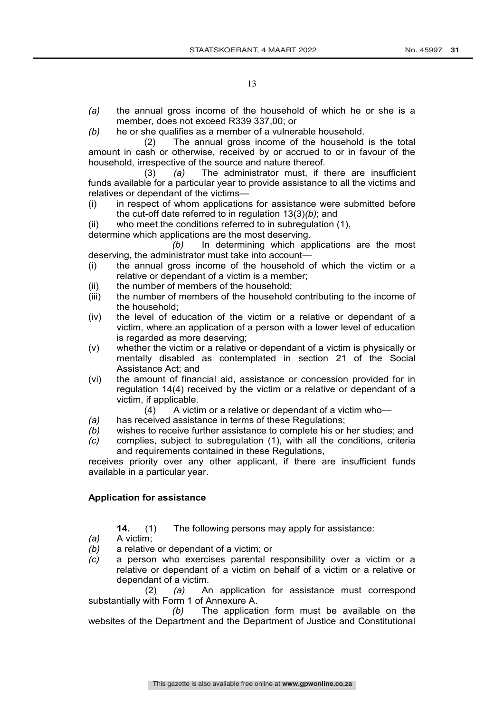- *(a)* the annual gross income of the household of which he or she is a member, does not exceed R339 337,00; or
- *(b)* he or she qualifies as a member of a vulnerable household.

(2) The annual gross income of the household is the total amount in cash or otherwise, received by or accrued to or in favour of the household, irrespective of the source and nature thereof.

(3) *(a)* The administrator must, if there are insufficient funds available for a particular year to provide assistance to all the victims and relatives or dependant of the victims—

(i) in respect of whom applications for assistance were submitted before the cut-off date referred to in regulation 13(3)*(b)*; and

(ii) who meet the conditions referred to in subregulation (1),

determine which applications are the most deserving.

*(b)* In determining which applications are the most deserving, the administrator must take into account—

- (i) the annual gross income of the household of which the victim or a relative or dependant of a victim is a member;
- (ii) the number of members of the household;
- (iii) the number of members of the household contributing to the income of the household;
- (iv) the level of education of the victim or a relative or dependant of a victim, where an application of a person with a lower level of education is regarded as more deserving;
- (v) whether the victim or a relative or dependant of a victim is physically or mentally disabled as contemplated in section 21 of the Social Assistance Act; and
- (vi) the amount of financial aid, assistance or concession provided for in regulation 14(4) received by the victim or a relative or dependant of a victim, if applicable.
	- (4) A victim or a relative or dependant of a victim who—
- *(a)* has received assistance in terms of these Regulations;
- *(b)* wishes to receive further assistance to complete his or her studies; and
- *(c)* complies, subject to subregulation (1), with all the conditions, criteria and requirements contained in these Regulations,

receives priority over any other applicant, if there are insufficient funds available in a particular year.

## **Application for assistance**

- **14.** (1) The following persons may apply for assistance:
- *(a)* A victim;
- *(b)* a relative or dependant of a victim; or
- *(c)* a person who exercises parental responsibility over a victim or a relative or dependant of a victim on behalf of a victim or a relative or dependant of a victim.

(2) *(a)* An application for assistance must correspond substantially with Form 1 of Annexure A.

*(b)* The application form must be available on the websites of the Department and the Department of Justice and Constitutional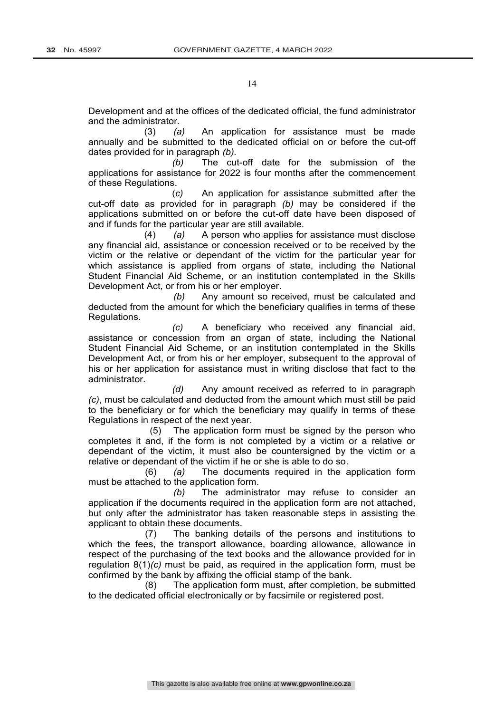Development and at the offices of the dedicated official, the fund administrator and the administrator.

(3) *(a)* An application for assistance must be made annually and be submitted to the dedicated official on or before the cut-off dates provided for in paragraph *(b).*

*(b)* The cut-off date for the submission of the applications for assistance for 2022 is four months after the commencement of these Regulations.

(*c)* An application for assistance submitted after the cut-off date as provided for in paragraph *(b)* may be considered if the applications submitted on or before the cut-off date have been disposed of and if funds for the particular year are still available.

(4) *(a)* A person who applies for assistance must disclose any financial aid, assistance or concession received or to be received by the victim or the relative or dependant of the victim for the particular year for which assistance is applied from organs of state, including the National Student Financial Aid Scheme, or an institution contemplated in the Skills Development Act, or from his or her employer.

*(b)* Any amount so received, must be calculated and deducted from the amount for which the beneficiary qualifies in terms of these Regulations.

*(c)* A beneficiary who received any financial aid, assistance or concession from an organ of state, including the National Student Financial Aid Scheme, or an institution contemplated in the Skills Development Act, or from his or her employer, subsequent to the approval of his or her application for assistance must in writing disclose that fact to the administrator.

*(d)* Any amount received as referred to in paragraph *(c)*, must be calculated and deducted from the amount which must still be paid to the beneficiary or for which the beneficiary may qualify in terms of these Regulations in respect of the next year.

(5) The application form must be signed by the person who completes it and, if the form is not completed by a victim or a relative or dependant of the victim, it must also be countersigned by the victim or a relative or dependant of the victim if he or she is able to do so.

(6) *(a)* The documents required in the application form must be attached to the application form.

*(b)* The administrator may refuse to consider an application if the documents required in the application form are not attached, but only after the administrator has taken reasonable steps in assisting the applicant to obtain these documents.

(7) The banking details of the persons and institutions to which the fees, the transport allowance, boarding allowance, allowance in respect of the purchasing of the text books and the allowance provided for in regulation 8(1)*(c)* must be paid, as required in the application form, must be confirmed by the bank by affixing the official stamp of the bank.

(8) The application form must, after completion, be submitted to the dedicated official electronically or by facsimile or registered post.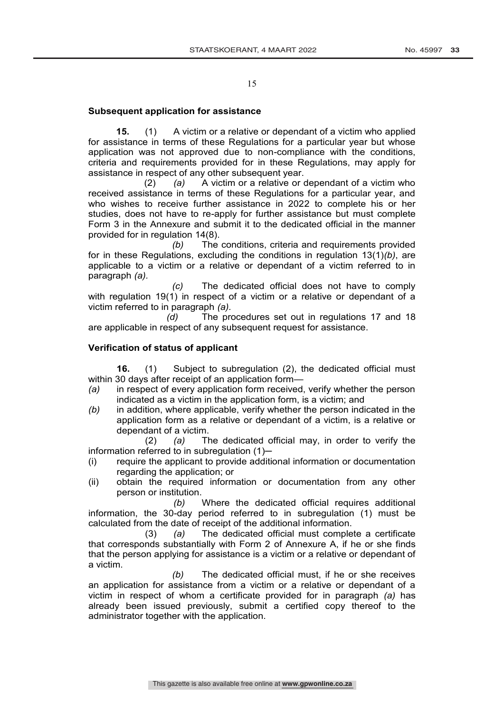## **Subsequent application for assistance**

**15.** (1) A victim or a relative or dependant of a victim who applied for assistance in terms of these Regulations for a particular year but whose application was not approved due to non-compliance with the conditions, criteria and requirements provided for in these Regulations, may apply for assistance in respect of any other subsequent year.

(2) *(a)* A victim or a relative or dependant of a victim who received assistance in terms of these Regulations for a particular year, and who wishes to receive further assistance in 2022 to complete his or her studies, does not have to re-apply for further assistance but must complete Form 3 in the Annexure and submit it to the dedicated official in the manner provided for in regulation 14(8).

*(b)* The conditions, criteria and requirements provided for in these Regulations, excluding the conditions in regulation 13(1)*(b)*, are applicable to a victim or a relative or dependant of a victim referred to in paragraph *(a).*

*(c)* The dedicated official does not have to comply with regulation 19(1) in respect of a victim or a relative or dependant of a victim referred to in paragraph *(a).*

*(d)* The procedures set out in regulations 17 and 18 are applicable in respect of any subsequent request for assistance.

## **Verification of status of applicant**

**16.** (1) Subject to subregulation (2), the dedicated official must within 30 days after receipt of an application form—

- *(a)* in respect of every application form received, verify whether the person indicated as a victim in the application form, is a victim; and
- *(b)* in addition, where applicable, verify whether the person indicated in the application form as a relative or dependant of a victim, is a relative or dependant of a victim.

(2) *(a)* The dedicated official may, in order to verify the information referred to in subregulation (1)—

- (i) require the applicant to provide additional information or documentation regarding the application; or
- (ii) obtain the required information or documentation from any other person or institution.

*(b)* Where the dedicated official requires additional information, the 30-day period referred to in subregulation (1) must be calculated from the date of receipt of the additional information.<br>(3) (a) The dedicated official must comple

(3) *(a)* The dedicated official must complete a certificate that corresponds substantially with Form 2 of Annexure A, if he or she finds that the person applying for assistance is a victim or a relative or dependant of a victim.

*(b)* The dedicated official must, if he or she receives an application for assistance from a victim or a relative or dependant of a victim in respect of whom a certificate provided for in paragraph *(a)* has already been issued previously, submit a certified copy thereof to the administrator together with the application.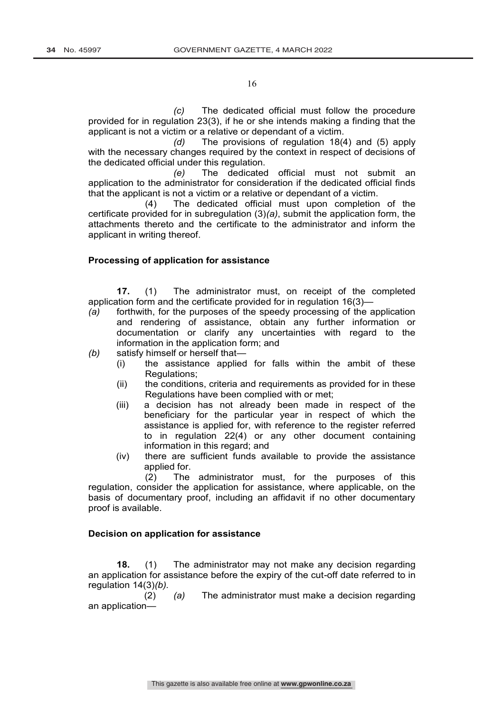*(c)* The dedicated official must follow the procedure provided for in regulation 23(3), if he or she intends making a finding that the applicant is not a victim or a relative or dependant of a victim.

*(d)* The provisions of regulation 18(4) and (5) apply with the necessary changes required by the context in respect of decisions of the dedicated official under this regulation.

*(e)* The dedicated official must not submit an application to the administrator for consideration if the dedicated official finds that the applicant is not a victim or a relative or dependant of a victim.

(4) The dedicated official must upon completion of the certificate provided for in subregulation (3)*(a)*, submit the application form, the attachments thereto and the certificate to the administrator and inform the applicant in writing thereof.

## **Processing of application for assistance**

**17.** (1) The administrator must, on receipt of the completed application form and the certificate provided for in regulation 16(3)—

*(a)* forthwith, for the purposes of the speedy processing of the application and rendering of assistance, obtain any further information or documentation or clarify any uncertainties with regard to the information in the application form; and

*(b)* satisfy himself or herself that—

- (i) the assistance applied for falls within the ambit of these Regulations;
- (ii) the conditions, criteria and requirements as provided for in these Regulations have been complied with or met;
- (iii) a decision has not already been made in respect of the beneficiary for the particular year in respect of which the assistance is applied for, with reference to the register referred to in regulation 22(4) or any other document containing information in this regard; and
- (iv) there are sufficient funds available to provide the assistance applied for.

(2) The administrator must, for the purposes of this regulation, consider the application for assistance, where applicable, on the basis of documentary proof, including an affidavit if no other documentary proof is available.

## **Decision on application for assistance**

**18.** (1) The administrator may not make any decision regarding an application for assistance before the expiry of the cut-off date referred to in regulation 14(3)*(b).*

(2) *(a)* The administrator must make a decision regarding an application—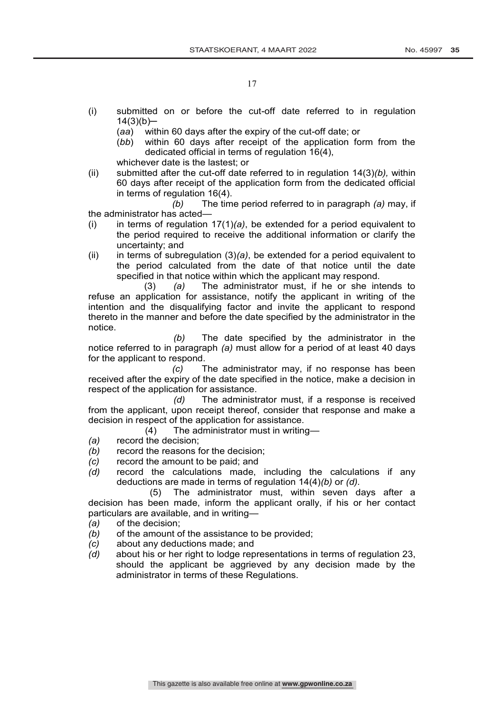- (i) submitted on or before the cut-off date referred to in regulation  $14(3)(b)$ —
	- (*aa*) within 60 days after the expiry of the cut-off date; or
	- (*bb*) within 60 days after receipt of the application form from the dedicated official in terms of regulation 16(4),

whichever date is the lastest; or

(ii) submitted after the cut-off date referred to in regulation 14(3)*(b),* within 60 days after receipt of the application form from the dedicated official in terms of regulation 16(4).

*(b)* The time period referred to in paragraph *(a)* may, if the administrator has acted—

- (i) in terms of regulation 17(1)*(a)*, be extended for a period equivalent to the period required to receive the additional information or clarify the uncertainty; and
- (ii) in terms of subregulation (3)*(a)*, be extended for a period equivalent to the period calculated from the date of that notice until the date specified in that notice within which the applicant may respond.

(3) *(a)* The administrator must, if he or she intends to refuse an application for assistance, notify the applicant in writing of the intention and the disqualifying factor and invite the applicant to respond thereto in the manner and before the date specified by the administrator in the notice.

*(b)* The date specified by the administrator in the notice referred to in paragraph *(a)* must allow for a period of at least 40 days for the applicant to respond.

*(c)* The administrator may, if no response has been received after the expiry of the date specified in the notice, make a decision in respect of the application for assistance.

*(d)* The administrator must, if a response is received from the applicant, upon receipt thereof, consider that response and make a decision in respect of the application for assistance.

- (4) The administrator must in writing—
- *(a)* record the decision;
- *(b)* record the reasons for the decision;
- *(c)* record the amount to be paid; and
- *(d)* record the calculations made, including the calculations if any deductions are made in terms of regulation 14(4)*(b)* or *(d).*

(5) The administrator must, within seven days after a decision has been made, inform the applicant orally, if his or her contact particulars are available, and in writing—

- *(a)* of the decision;
- *(b)* of the amount of the assistance to be provided;
- *(c)* about any deductions made; and
- *(d)* about his or her right to lodge representations in terms of regulation 23, should the applicant be aggrieved by any decision made by the administrator in terms of these Regulations.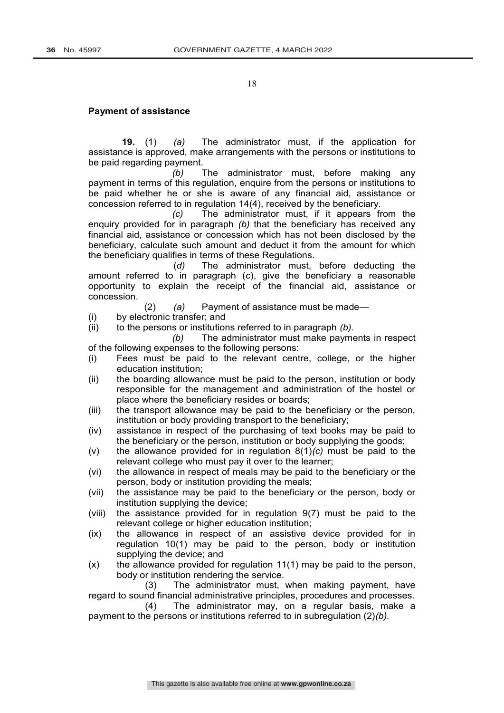#### **Payment of assistance**

**19.** (1) *(a)* The administrator must, if the application for assistance is approved, make arrangements with the persons or institutions to be paid regarding payment.

*(b)* The administrator must, before making any payment in terms of this regulation, enquire from the persons or institutions to be paid whether he or she is aware of any financial aid, assistance or concession referred to in regulation 14(4), received by the beneficiary.

*(c)* The administrator must, if it appears from the enquiry provided for in paragraph *(b)* that the beneficiary has received any financial aid, assistance or concession which has not been disclosed by the beneficiary, calculate such amount and deduct it from the amount for which the beneficiary qualifies in terms of these Regulations.

(*d)* The administrator must, before deducting the amount referred to in paragraph (*c*), give the beneficiary a reasonable opportunity to explain the receipt of the financial aid, assistance or concession.

(2) *(a)* Payment of assistance must be made—

(i) by electronic transfer; and

(ii) to the persons or institutions referred to in paragraph *(b).*

*(b)* The administrator must make payments in respect of the following expenses to the following persons:

- (i) Fees must be paid to the relevant centre, college, or the higher education institution;
- (ii) the boarding allowance must be paid to the person, institution or body responsible for the management and administration of the hostel or place where the beneficiary resides or boards;
- (iii) the transport allowance may be paid to the beneficiary or the person, institution or body providing transport to the beneficiary;
- (iv) assistance in respect of the purchasing of text books may be paid to the beneficiary or the person, institution or body supplying the goods;
- (v) the allowance provided for in regulation 8(1)*(c)* must be paid to the relevant college who must pay it over to the learner;
- (vi) the allowance in respect of meals may be paid to the beneficiary or the person, body or institution providing the meals;
- (vii) the assistance may be paid to the beneficiary or the person, body or institution supplying the device;
- (viii) the assistance provided for in regulation 9(7) must be paid to the relevant college or higher education institution;
- (ix) the allowance in respect of an assistive device provided for in regulation 10(1) may be paid to the person, body or institution supplying the device; and
- $(x)$  the allowance provided for regulation 11(1) may be paid to the person, body or institution rendering the service.

(3) The administrator must, when making payment, have regard to sound financial administrative principles, procedures and processes.

(4) The administrator may, on a regular basis, make a payment to the persons or institutions referred to in subregulation (2)*(b).*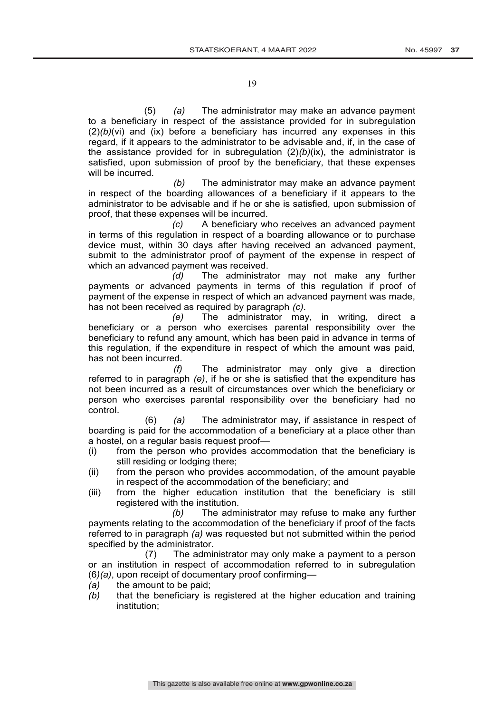(5) *(a)* The administrator may make an advance payment to a beneficiary in respect of the assistance provided for in subregulation  $(2)(b)(vi)$  and (ix) before a beneficiary has incurred any expenses in this regard, if it appears to the administrator to be advisable and, if, in the case of the assistance provided for in subregulation (2)*(b)*(ix), the administrator is satisfied, upon submission of proof by the beneficiary, that these expenses will be incurred.

*(b)* The administrator may make an advance payment in respect of the boarding allowances of a beneficiary if it appears to the administrator to be advisable and if he or she is satisfied, upon submission of proof, that these expenses will be incurred.

*(c)* A beneficiary who receives an advanced payment in terms of this regulation in respect of a boarding allowance or to purchase device must, within 30 days after having received an advanced payment, submit to the administrator proof of payment of the expense in respect of which an advanced payment was received.<br>(d) The administration

The administrator may not make any further payments or advanced payments in terms of this regulation if proof of payment of the expense in respect of which an advanced payment was made, has not been received as required by paragraph *(c)*.

*(e)* The administrator may, in writing, direct a beneficiary or a person who exercises parental responsibility over the beneficiary to refund any amount, which has been paid in advance in terms of this regulation, if the expenditure in respect of which the amount was paid, has not been incurred.

*(f)* The administrator may only give a direction referred to in paragraph *(e)*, if he or she is satisfied that the expenditure has not been incurred as a result of circumstances over which the beneficiary or person who exercises parental responsibility over the beneficiary had no control.

(6) *(a)* The administrator may, if assistance in respect of boarding is paid for the accommodation of a beneficiary at a place other than a hostel, on a regular basis request proof—

- (i) from the person who provides accommodation that the beneficiary is still residing or lodging there;
- (ii) from the person who provides accommodation, of the amount payable in respect of the accommodation of the beneficiary; and
- (iii) from the higher education institution that the beneficiary is still registered with the institution.

*(b)* The administrator may refuse to make any further payments relating to the accommodation of the beneficiary if proof of the facts referred to in paragraph *(a)* was requested but not submitted within the period specified by the administrator.

(7) The administrator may only make a payment to a person or an institution in respect of accommodation referred to in subregulation (6*)(a)*, upon receipt of documentary proof confirming—

*(a)* the amount to be paid;

*(b)* that the beneficiary is registered at the higher education and training institution;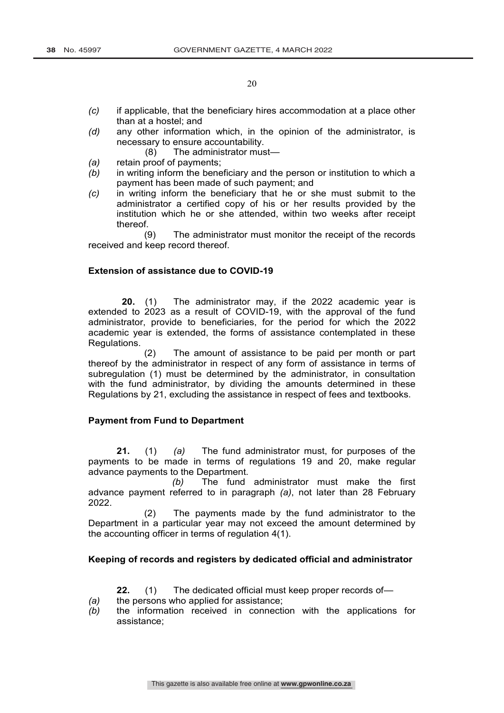- *(c)* if applicable, that the beneficiary hires accommodation at a place other than at a hostel; and
- *(d)* any other information which, in the opinion of the administrator, is necessary to ensure accountability.
	- (8) The administrator must—
- *(a)* retain proof of payments;
- *(b)* in writing inform the beneficiary and the person or institution to which a payment has been made of such payment; and
- *(c)* in writing inform the beneficiary that he or she must submit to the administrator a certified copy of his or her results provided by the institution which he or she attended, within two weeks after receipt thereof.

(9) The administrator must monitor the receipt of the records received and keep record thereof.

## **Extension of assistance due to COVID-19**

**20.** (1) The administrator may, if the 2022 academic year is extended to 2023 as a result of COVID-19, with the approval of the fund administrator, provide to beneficiaries, for the period for which the 2022 academic year is extended, the forms of assistance contemplated in these Regulations.

(2) The amount of assistance to be paid per month or part thereof by the administrator in respect of any form of assistance in terms of subregulation (1) must be determined by the administrator, in consultation with the fund administrator, by dividing the amounts determined in these Regulations by 21, excluding the assistance in respect of fees and textbooks.

## **Payment from Fund to Department**

**21.** (1) *(a)* The fund administrator must, for purposes of the payments to be made in terms of regulations 19 and 20, make regular advance payments to the Department.

*(b)* The fund administrator must make the first advance payment referred to in paragraph *(a)*, not later than 28 February 2022.

(2) The payments made by the fund administrator to the Department in a particular year may not exceed the amount determined by the accounting officer in terms of regulation 4(1).

## **Keeping of records and registers by dedicated official and administrator**

**22.** (1) The dedicated official must keep proper records of—

- *(a)* the persons who applied for assistance;
- *(b)* the information received in connection with the applications for assistance;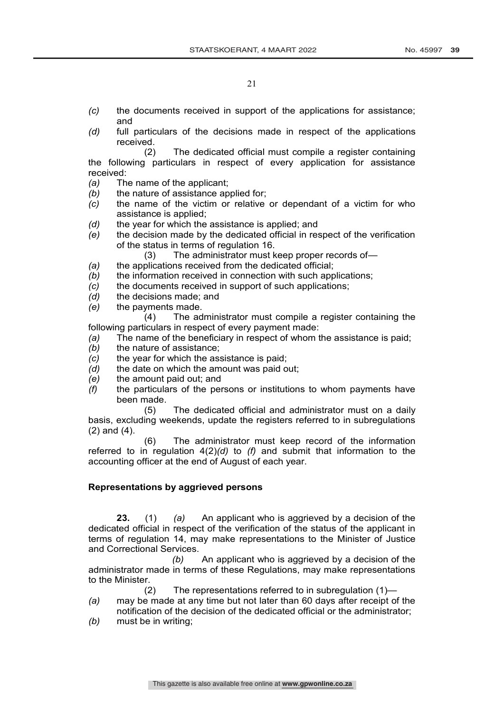- *(c)* the documents received in support of the applications for assistance; and
- *(d)* full particulars of the decisions made in respect of the applications received.

(2) The dedicated official must compile a register containing the following particulars in respect of every application for assistance received:

- *(a)* The name of the applicant;
- *(b)* the nature of assistance applied for;
- *(c)* the name of the victim or relative or dependant of a victim for who assistance is applied;
- *(d)* the year for which the assistance is applied; and
- *(e)* the decision made by the dedicated official in respect of the verification of the status in terms of regulation 16.
	- (3) The administrator must keep proper records of—
- *(a)* the applications received from the dedicated official;
- *(b)* the information received in connection with such applications;
- *(c)* the documents received in support of such applications;
- *(d)* the decisions made; and
- *(e)* the payments made.

(4) The administrator must compile a register containing the following particulars in respect of every payment made:

- *(a)* The name of the beneficiary in respect of whom the assistance is paid;
- *(b)* the nature of assistance;
- *(c)* the year for which the assistance is paid;
- *(d)* the date on which the amount was paid out;
- *(e)* the amount paid out; and
- *(f)* the particulars of the persons or institutions to whom payments have been made.

(5) The dedicated official and administrator must on a daily basis, excluding weekends, update the registers referred to in subregulations (2) and (4).

(6) The administrator must keep record of the information referred to in regulation 4(2)*(d)* to *(f)* and submit that information to the accounting officer at the end of August of each year.

## **Representations by aggrieved persons**

**23.** (1) *(a)* An applicant who is aggrieved by a decision of the dedicated official in respect of the verification of the status of the applicant in terms of regulation 14, may make representations to the Minister of Justice and Correctional Services.

*(b)* An applicant who is aggrieved by a decision of the administrator made in terms of these Regulations, may make representations to the Minister.

(2) The representations referred to in subregulation (1)—

- *(a)* may be made at any time but not later than 60 days after receipt of the notification of the decision of the dedicated official or the administrator;
- *(b)* must be in writing;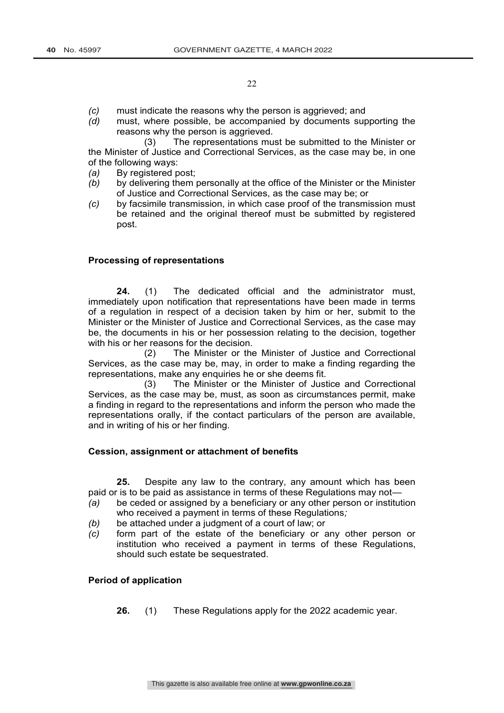- *(c)* must indicate the reasons why the person is aggrieved; and
- *(d)* must, where possible, be accompanied by documents supporting the reasons why the person is aggrieved.

(3) The representations must be submitted to the Minister or the Minister of Justice and Correctional Services, as the case may be, in one of the following ways:

- *(a)* By registered post;
- *(b)* by delivering them personally at the office of the Minister or the Minister of Justice and Correctional Services, as the case may be; or
- *(c)* by facsimile transmission, in which case proof of the transmission must be retained and the original thereof must be submitted by registered post.

## **Processing of representations**

**24.** (1) The dedicated official and the administrator must, immediately upon notification that representations have been made in terms of a regulation in respect of a decision taken by him or her, submit to the Minister or the Minister of Justice and Correctional Services, as the case may be, the documents in his or her possession relating to the decision, together with his or her reasons for the decision.

(2) The Minister or the Minister of Justice and Correctional Services, as the case may be, may, in order to make a finding regarding the representations, make any enquiries he or she deems fit.

(3) The Minister or the Minister of Justice and Correctional Services, as the case may be, must, as soon as circumstances permit, make a finding in regard to the representations and inform the person who made the representations orally, if the contact particulars of the person are available, and in writing of his or her finding.

## **Cession, assignment or attachment of benefits**

**25.** Despite any law to the contrary, any amount which has been paid or is to be paid as assistance in terms of these Regulations may not—

- *(a)* be ceded or assigned by a beneficiary or any other person or institution who received a payment in terms of these Regulations*;*
- *(b)* be attached under a judgment of a court of law; or
- *(c)* form part of the estate of the beneficiary or any other person or institution who received a payment in terms of these Regulations, should such estate be sequestrated.

## **Period of application**

**26.** (1) These Regulations apply for the 2022 academic year.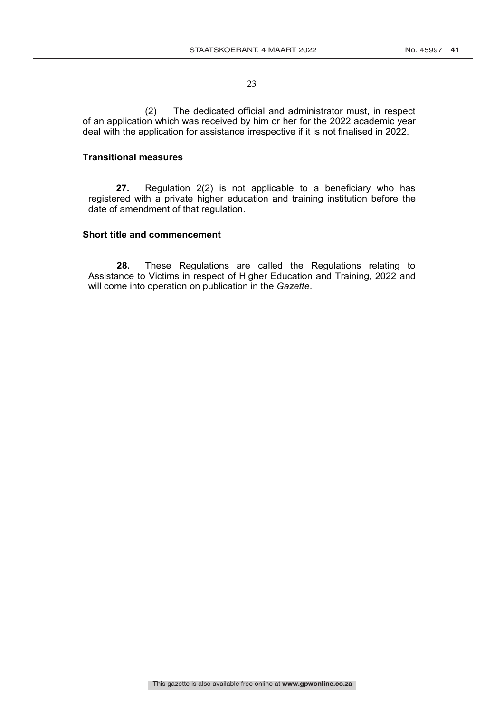(2) The dedicated official and administrator must, in respect of an application which was received by him or her for the 2022 academic year deal with the application for assistance irrespective if it is not finalised in 2022.

## **Transitional measures**

**27.** Regulation 2(2) is not applicable to a beneficiary who has registered with a private higher education and training institution before the date of amendment of that regulation.

## **Short title and commencement**

**28.** These Regulations are called the Regulations relating to Assistance to Victims in respect of Higher Education and Training, 2022 and will come into operation on publication in the *Gazette*.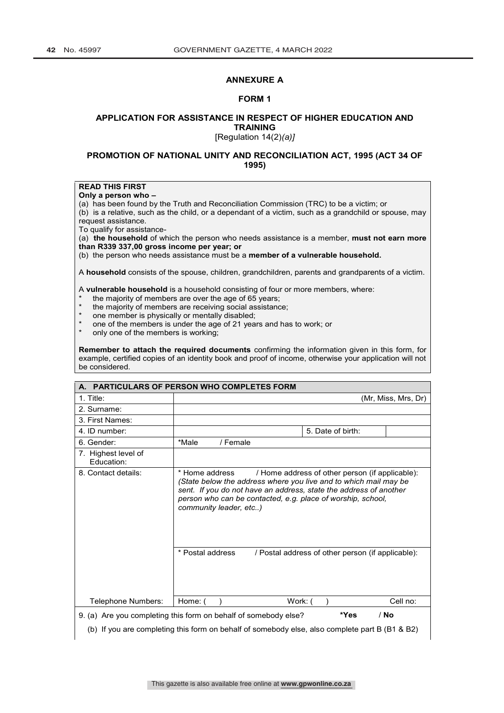### **ANNEXURE A**

#### **FORM 1**

## **APPLICATION FOR ASSISTANCE IN RESPECT OF HIGHER EDUCATION AND TRAINING**

[Regulation 14(2)*(a)]*

### **PROMOTION OF NATIONAL UNITY AND RECONCILIATION ACT, 1995 (ACT 34 OF 1995)**

## **READ THIS FIRST**

**Only a person who –**

(a) has been found by the Truth and Reconciliation Commission (TRC) to be a victim; or

(b) is a relative, such as the child, or a dependant of a victim, such as a grandchild or spouse, may request assistance.

To qualify for assistance-

(a) **the household** of which the person who needs assistance is a member, **must not earn more than R339 337,00 gross income per year; or**

(b)the person who needs assistance must be a **member of a vulnerable household.** 

A **household** consists of the spouse, children, grandchildren, parents and grandparents of a victim.

A **vulnerable household** is a household consisting of four or more members, where:

- \* the majority of members are over the age of 65 years;<br>\* \* the majority of members are resolution assistant
- the majority of members are receiving social assistance;
- \* one member is physically or mentally disabled;<br>\* and of the members is under the age of 21 years
- one of the members is under the age of 21 years and has to work; or
- only one of the members is working;

**Remember to attach the required documents** confirming the information given in this form, for example, certified copies of an identity book and proof of income, otherwise your application will not be considered.

|                                   | A. PARTICULARS OF PERSON WHO COMPLETES FORM                                                                                                                                                                                                                          |                                                                                                      |
|-----------------------------------|----------------------------------------------------------------------------------------------------------------------------------------------------------------------------------------------------------------------------------------------------------------------|------------------------------------------------------------------------------------------------------|
| $1.$ Title:                       |                                                                                                                                                                                                                                                                      | (Mr, Miss, Mrs, Dr)                                                                                  |
| 2. Surname:                       |                                                                                                                                                                                                                                                                      |                                                                                                      |
| 3. First Names:                   |                                                                                                                                                                                                                                                                      |                                                                                                      |
| 4. ID number:                     |                                                                                                                                                                                                                                                                      | 5. Date of birth:                                                                                    |
| 6. Gender:                        | *Male<br>/ Female                                                                                                                                                                                                                                                    |                                                                                                      |
| 7. Highest level of<br>Education: |                                                                                                                                                                                                                                                                      |                                                                                                      |
| 8. Contact details:               | * Home address<br>(State below the address where you live and to which mail may be<br>sent. If you do not have an address, state the address of another<br>person who can be contacted, e.g. place of worship, school,<br>community leader, etc)<br>* Postal address | / Home address of other person (if applicable):<br>/ Postal address of other person (if applicable): |
| Telephone Numbers:                | Home: (<br>Work: (                                                                                                                                                                                                                                                   | Cell no:                                                                                             |
|                                   | 9. (a) Are you completing this form on behalf of somebody else?                                                                                                                                                                                                      | $/$ No<br>*Yes                                                                                       |
|                                   |                                                                                                                                                                                                                                                                      |                                                                                                      |
|                                   | (b) If you are completing this form on behalf of somebody else, also complete part B (B1 & B2)                                                                                                                                                                       |                                                                                                      |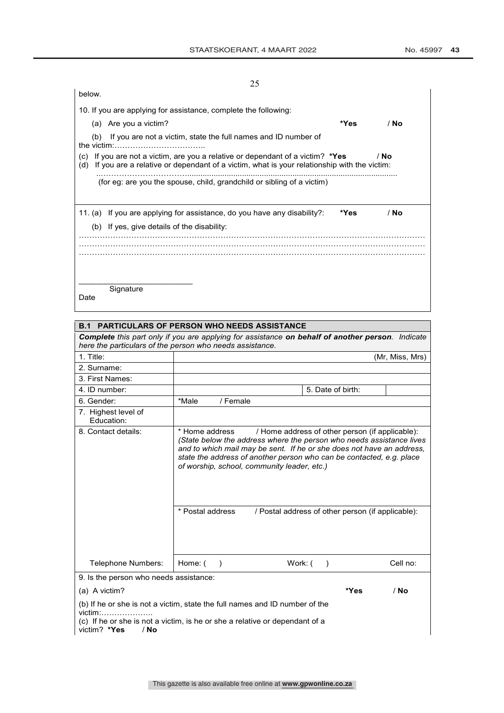| 25                                                                                                                                                                                     |      |        |
|----------------------------------------------------------------------------------------------------------------------------------------------------------------------------------------|------|--------|
| below.                                                                                                                                                                                 |      |        |
| 10. If you are applying for assistance, complete the following:                                                                                                                        |      |        |
| Are you a victim?<br>(a)                                                                                                                                                               | *Yes | $/$ No |
| If you are not a victim, state the full names and ID number of<br>(b)<br>the victim:                                                                                                   |      |        |
| If you are not a victim, are you a relative or dependant of a victim? *Yes<br>(C)<br>If you are a relative or dependant of a victim, what is your relationship with the victim:<br>(d) |      | / No   |
| (for eg: are you the spouse, child, grandchild or sibling of a victim)                                                                                                                 |      |        |
|                                                                                                                                                                                        |      |        |
| 11. (a) If you are applying for assistance, do you have any disability?:                                                                                                               | *Yes | / No   |
| (b) If yes, give details of the disability:                                                                                                                                            |      |        |
|                                                                                                                                                                                        |      |        |
|                                                                                                                                                                                        |      |        |
|                                                                                                                                                                                        |      |        |
| Signature                                                                                                                                                                              |      |        |
| Date                                                                                                                                                                                   |      |        |

| <b>B.1 PARTICULARS OF PERSON WHO NEEDS ASSISTANCE</b>                                                                                                                       |                                                                                                                                                                                                                                                                                        |                                                   |                   |      |                 |
|-----------------------------------------------------------------------------------------------------------------------------------------------------------------------------|----------------------------------------------------------------------------------------------------------------------------------------------------------------------------------------------------------------------------------------------------------------------------------------|---------------------------------------------------|-------------------|------|-----------------|
| <b>Complete</b> this part only if you are applying for assistance <b>on behalf of another person</b> . Indicate<br>here the particulars of the person who needs assistance. |                                                                                                                                                                                                                                                                                        |                                                   |                   |      |                 |
| 1. Title:                                                                                                                                                                   |                                                                                                                                                                                                                                                                                        |                                                   |                   |      | (Mr, Miss, Mrs) |
| 2. Surname:                                                                                                                                                                 |                                                                                                                                                                                                                                                                                        |                                                   |                   |      |                 |
| 3. First Names:                                                                                                                                                             |                                                                                                                                                                                                                                                                                        |                                                   |                   |      |                 |
| 4. ID number:                                                                                                                                                               |                                                                                                                                                                                                                                                                                        |                                                   | 5. Date of birth: |      |                 |
| 6. Gender:                                                                                                                                                                  | *Male<br>/ Female                                                                                                                                                                                                                                                                      |                                                   |                   |      |                 |
| 7. Highest level of<br>Education:                                                                                                                                           |                                                                                                                                                                                                                                                                                        |                                                   |                   |      |                 |
| 8. Contact details:                                                                                                                                                         | * Home address<br>(State below the address where the person who needs assistance lives<br>and to which mail may be sent. If he or she does not have an address,<br>state the address of another person who can be contacted, e.g. place<br>of worship, school, community leader, etc.) | / Home address of other person (if applicable):   |                   |      |                 |
|                                                                                                                                                                             | * Postal address                                                                                                                                                                                                                                                                       | / Postal address of other person (if applicable): |                   |      |                 |
| Telephone Numbers:                                                                                                                                                          | Home: (<br>$\rightarrow$                                                                                                                                                                                                                                                               | Work: (                                           | $\lambda$         |      | Cell no:        |
| 9. Is the person who needs assistance:                                                                                                                                      |                                                                                                                                                                                                                                                                                        |                                                   |                   |      |                 |
| (a) A victim?                                                                                                                                                               |                                                                                                                                                                                                                                                                                        |                                                   |                   | *Yes | $/$ No          |
| (b) If he or she is not a victim, state the full names and ID number of the                                                                                                 |                                                                                                                                                                                                                                                                                        |                                                   |                   |      |                 |

victim:……………….. (c) If he or she is not a victim, is he or she a relative or dependant of a victim? **\*Yes** / **No**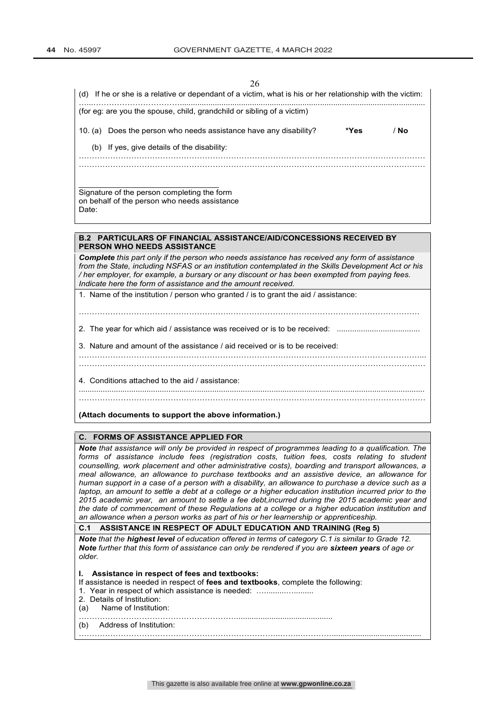$\overline{c}$ 

| ∠∪<br>If he or she is a relative or dependant of a victim, what is his or her relationship with the victim:<br>(d)                                                                                                                                                                                                                                                      |
|-------------------------------------------------------------------------------------------------------------------------------------------------------------------------------------------------------------------------------------------------------------------------------------------------------------------------------------------------------------------------|
| (for eg: are you the spouse, child, grandchild or sibling of a victim)                                                                                                                                                                                                                                                                                                  |
| / No<br>10. (a) Does the person who needs assistance have any disability?<br>*Yes                                                                                                                                                                                                                                                                                       |
| (b) If yes, give details of the disability:                                                                                                                                                                                                                                                                                                                             |
|                                                                                                                                                                                                                                                                                                                                                                         |
| Signature of the person completing the form<br>on behalf of the person who needs assistance<br>Date:                                                                                                                                                                                                                                                                    |
| <b>B.2 PARTICULARS OF FINANCIAL ASSISTANCE/AID/CONCESSIONS RECEIVED BY</b>                                                                                                                                                                                                                                                                                              |
| <b>PERSON WHO NEEDS ASSISTANCE</b>                                                                                                                                                                                                                                                                                                                                      |
| Complete this part only if the person who needs assistance has received any form of assistance<br>from the State, including NSFAS or an institution contemplated in the Skills Development Act or his<br>/ her employer, for example, a bursary or any discount or has been exempted from paying fees.<br>Indicate here the form of assistance and the amount received. |
| 1. Name of the institution / person who granted / is to grant the aid / assistance:                                                                                                                                                                                                                                                                                     |
|                                                                                                                                                                                                                                                                                                                                                                         |

2. The year for which aid / assistance was received or is to be received: ......................................

.............................................................................................................................................................. ……………………………………………………………………………………………………………………

………………………………….………………………………………………………………………………... ……………………………………………………………………………………………………………………

3. Nature and amount of the assistance / aid received or is to be received:

**(Attach documents to support the above information.) C. FORMS OF ASSISTANCE APPLIED FOR** *Note that assistance will only be provided in respect of programmes leading to a qualification. The*  forms of assistance include fees (registration costs, tuition fees, costs relating to student *counselling, work placement and other administrative costs), boarding and transport allowances, a meal allowance, an allowance to purchase textbooks and an assistive device, an allowance for human support in a case of a person with a disability, an allowance to purchase a device such as a laptop, an amount to settle a debt at a college or a higher education institution incurred prior to the 2015 academic year, an amount to settle a fee debt,incurred during the 2015 academic year and the date of commencement of these Regulations at a college or a higher education institution and* 

*an allowance when a person works as part of his or her learnership or apprenticeship.* **C.1 ASSISTANCE IN RESPECT OF ADULT EDUCATION AND TRAINING (Reg 5)**

*Note that the highest level of education offered in terms of category C.1 is similar to Grade 12. Note further that this form of assistance can only be rendered if you are sixteen years of age or older.*

**I. Assistance in respect of fees and textbooks:**

4. Conditions attached to the aid / assistance:

If assistance is needed in respect of **fees and textbooks**, complete the following:

- 1. Year in respect of which assistance is needed: ..............................
- 2. Details of Institution:
- (a) Name of Institution:

(b) Address of Institution: …………………………………………………………………..……..………….........................................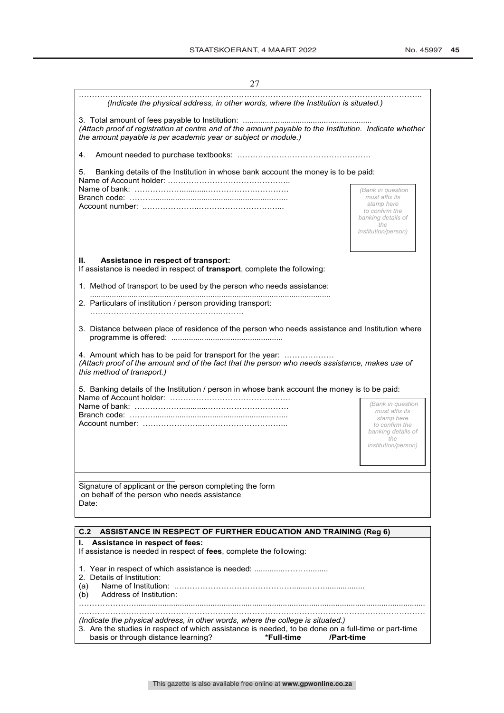| 27                                                                                                                                                                                         |                              |  |
|--------------------------------------------------------------------------------------------------------------------------------------------------------------------------------------------|------------------------------|--|
| (Indicate the physical address, in other words, where the Institution is situated.)                                                                                                        |                              |  |
| (Attach proof of registration at centre and of the amount payable to the Institution. Indicate whether<br>the amount payable is per academic year or subject or module.)                   |                              |  |
| 4.                                                                                                                                                                                         |                              |  |
| Banking details of the Institution in whose bank account the money is to be paid:<br>5.                                                                                                    |                              |  |
|                                                                                                                                                                                            | (Bank in question            |  |
|                                                                                                                                                                                            | must affix its<br>stamp here |  |
|                                                                                                                                                                                            | to confirm the               |  |
|                                                                                                                                                                                            | banking details of<br>the    |  |
|                                                                                                                                                                                            | institution/person)          |  |
|                                                                                                                                                                                            |                              |  |
| Assistance in respect of transport:<br>Н.<br>If assistance is needed in respect of transport, complete the following:                                                                      |                              |  |
| 1. Method of transport to be used by the person who needs assistance:                                                                                                                      |                              |  |
| 2. Particulars of institution / person providing transport:                                                                                                                                |                              |  |
| 3. Distance between place of residence of the person who needs assistance and Institution where                                                                                            |                              |  |
| 4. Amount which has to be paid for transport for the year:<br>(Attach proof of the amount and of the fact that the person who needs assistance, makes use of<br>this method of transport.) |                              |  |
| 5. Banking details of the Institution / person in whose bank account the money is to be paid:                                                                                              |                              |  |
|                                                                                                                                                                                            | (Bank in question            |  |
|                                                                                                                                                                                            | must affix its<br>stamp here |  |
|                                                                                                                                                                                            | to confirm the               |  |
|                                                                                                                                                                                            | banking details of<br>the    |  |
|                                                                                                                                                                                            | <i>institution/person)</i>   |  |
|                                                                                                                                                                                            |                              |  |
|                                                                                                                                                                                            |                              |  |
| Signature of applicant or the person completing the form<br>on behalf of the person who needs assistance                                                                                   |                              |  |
| Date:                                                                                                                                                                                      |                              |  |
|                                                                                                                                                                                            |                              |  |
| C.2<br><b>ASSISTANCE IN RESPECT OF FURTHER EDUCATION AND TRAINING (Reg 6)</b>                                                                                                              |                              |  |
| I. Assistance in respect of fees:                                                                                                                                                          |                              |  |
| If assistance is needed in respect of fees, complete the following:                                                                                                                        |                              |  |
| 1. Year in respect of which assistance is needed:                                                                                                                                          |                              |  |
| 2. Details of Institution:                                                                                                                                                                 |                              |  |
| Name of Institution:<br>(a)<br>Address of Institution:<br>(b)                                                                                                                              |                              |  |
|                                                                                                                                                                                            |                              |  |
| (Indicate the physical address, in other words, where the college is situated.)                                                                                                            |                              |  |
| 3. Are the studies in respect of which assistance is needed, to be done on a full-time or part-time                                                                                        |                              |  |
| basis or through distance learning?<br>*Full-time<br>/Part-time                                                                                                                            |                              |  |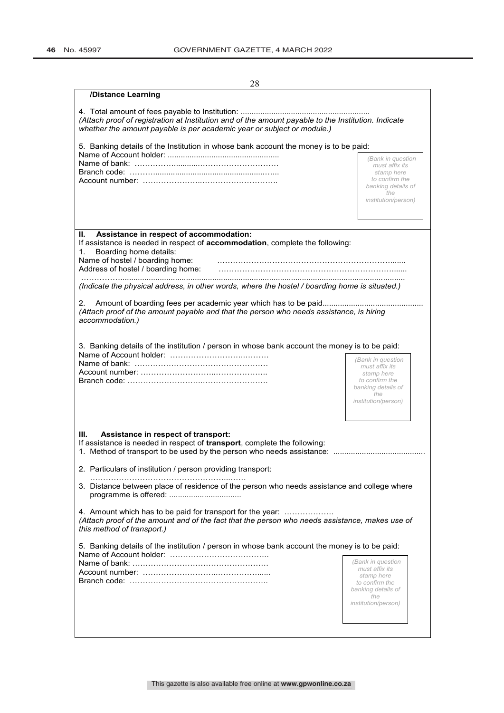| 28                                                                                                                                                                                           |                                                                    |  |
|----------------------------------------------------------------------------------------------------------------------------------------------------------------------------------------------|--------------------------------------------------------------------|--|
| /Distance Learning                                                                                                                                                                           |                                                                    |  |
| (Attach proof of registration at Institution and of the amount payable to the Institution. Indicate<br>whether the amount payable is per academic year or subject or module.)                |                                                                    |  |
| 5. Banking details of the Institution in whose bank account the money is to be paid:                                                                                                         |                                                                    |  |
|                                                                                                                                                                                              | (Bank in question<br>must affix its                                |  |
|                                                                                                                                                                                              | stamp here<br>to confirm the<br>banking details of                 |  |
|                                                                                                                                                                                              | the<br>institution/person)                                         |  |
| Assistance in respect of accommodation:<br>Н.                                                                                                                                                |                                                                    |  |
| If assistance is needed in respect of accommodation, complete the following:<br>Boarding home details:<br>1.<br>Name of hostel / boarding home:                                              |                                                                    |  |
| Address of hostel / boarding home:                                                                                                                                                           |                                                                    |  |
| (Indicate the physical address, in other words, where the hostel / boarding home is situated.)                                                                                               |                                                                    |  |
| 2.<br>(Attach proof of the amount payable and that the person who needs assistance, is hiring<br>accommodation.)                                                                             |                                                                    |  |
| 3. Banking details of the institution / person in whose bank account the money is to be paid:                                                                                                |                                                                    |  |
|                                                                                                                                                                                              | (Bank in question<br>must affix its<br>stamp here                  |  |
|                                                                                                                                                                                              | to confirm the<br>banking details of<br>the<br>institution/person) |  |
|                                                                                                                                                                                              |                                                                    |  |
| Assistance in respect of transport:<br>Ш.<br>If assistance is needed in respect of <b>transport</b> , complete the following:<br>2. Particulars of institution / person providing transport: |                                                                    |  |
| 3. Distance between place of residence of the person who needs assistance and college where                                                                                                  |                                                                    |  |
| 4. Amount which has to be paid for transport for the year:<br>(Attach proof of the amount and of the fact that the person who needs assistance, makes use of<br>this method of transport.)   |                                                                    |  |
| 5. Banking details of the institution / person in whose bank account the money is to be paid:                                                                                                |                                                                    |  |
|                                                                                                                                                                                              | (Bank in question                                                  |  |
|                                                                                                                                                                                              | must affix its<br>stamp here                                       |  |
|                                                                                                                                                                                              | to confirm the                                                     |  |
|                                                                                                                                                                                              | banking details of<br>the                                          |  |
|                                                                                                                                                                                              | <i>institution/person)</i>                                         |  |
|                                                                                                                                                                                              |                                                                    |  |

This gazette is also available free online at **www.gpwonline.co.za**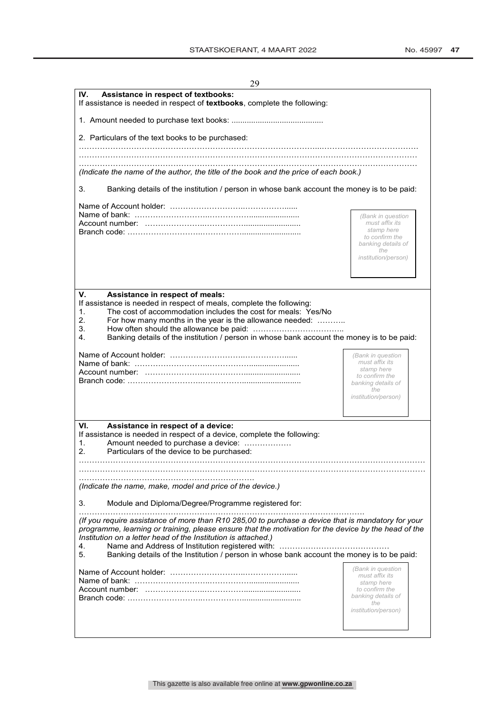| 29                                                                                                                                                                                                                                                                                                                                                                                                                                        |                                      |  |
|-------------------------------------------------------------------------------------------------------------------------------------------------------------------------------------------------------------------------------------------------------------------------------------------------------------------------------------------------------------------------------------------------------------------------------------------|--------------------------------------|--|
| Assistance in respect of textbooks:<br>IV.<br>If assistance is needed in respect of textbooks, complete the following:                                                                                                                                                                                                                                                                                                                    |                                      |  |
|                                                                                                                                                                                                                                                                                                                                                                                                                                           |                                      |  |
| 2. Particulars of the text books to be purchased:                                                                                                                                                                                                                                                                                                                                                                                         |                                      |  |
|                                                                                                                                                                                                                                                                                                                                                                                                                                           |                                      |  |
| (Indicate the name of the author, the title of the book and the price of each book.)                                                                                                                                                                                                                                                                                                                                                      |                                      |  |
| Banking details of the institution / person in whose bank account the money is to be paid:<br>3.                                                                                                                                                                                                                                                                                                                                          |                                      |  |
|                                                                                                                                                                                                                                                                                                                                                                                                                                           |                                      |  |
|                                                                                                                                                                                                                                                                                                                                                                                                                                           | (Bank in question<br>must affix its  |  |
|                                                                                                                                                                                                                                                                                                                                                                                                                                           | stamp here<br>to confirm the         |  |
|                                                                                                                                                                                                                                                                                                                                                                                                                                           | banking details of<br>the            |  |
|                                                                                                                                                                                                                                                                                                                                                                                                                                           | institution/person)                  |  |
|                                                                                                                                                                                                                                                                                                                                                                                                                                           |                                      |  |
| V.<br>Assistance in respect of meals:                                                                                                                                                                                                                                                                                                                                                                                                     |                                      |  |
| If assistance is needed in respect of meals, complete the following:<br>1.<br>The cost of accommodation includes the cost for meals: Yes/No<br>2.<br>For how many months in the year is the allowance needed:<br>3.<br>Banking details of the institution / person in whose bank account the money is to be paid:<br>4.                                                                                                                   |                                      |  |
|                                                                                                                                                                                                                                                                                                                                                                                                                                           | (Bank in question                    |  |
|                                                                                                                                                                                                                                                                                                                                                                                                                                           | must affix its<br>stamp here         |  |
|                                                                                                                                                                                                                                                                                                                                                                                                                                           | to confirm the<br>banking details of |  |
|                                                                                                                                                                                                                                                                                                                                                                                                                                           | the<br><i>institution/person)</i>    |  |
|                                                                                                                                                                                                                                                                                                                                                                                                                                           |                                      |  |
| VI.<br>Assistance in respect of a device:                                                                                                                                                                                                                                                                                                                                                                                                 |                                      |  |
| If assistance is needed in respect of a device, complete the following:<br>1.<br>Amount needed to purchase a device:<br>2.<br>Particulars of the device to be purchased:                                                                                                                                                                                                                                                                  |                                      |  |
|                                                                                                                                                                                                                                                                                                                                                                                                                                           |                                      |  |
|                                                                                                                                                                                                                                                                                                                                                                                                                                           |                                      |  |
| (Indicate the name, make, model and price of the device.)                                                                                                                                                                                                                                                                                                                                                                                 |                                      |  |
| Module and Diploma/Degree/Programme registered for:<br>3.                                                                                                                                                                                                                                                                                                                                                                                 |                                      |  |
| (If you require assistance of more than R10 285,00 to purchase a device that is mandatory for your<br>programme, learning or training, please ensure that the motivation for the device by the head of the<br>Institution on a letter head of the Institution is attached.)<br>Name and Address of Institution registered with:<br>4.<br>Banking details of the Institution / person in whose bank account the money is to be paid:<br>5. |                                      |  |
|                                                                                                                                                                                                                                                                                                                                                                                                                                           | (Bank in question                    |  |
|                                                                                                                                                                                                                                                                                                                                                                                                                                           | must affix its<br>stamp here         |  |
|                                                                                                                                                                                                                                                                                                                                                                                                                                           | to confirm the<br>banking details of |  |
|                                                                                                                                                                                                                                                                                                                                                                                                                                           | the<br><i>institution/person)</i>    |  |
|                                                                                                                                                                                                                                                                                                                                                                                                                                           |                                      |  |
|                                                                                                                                                                                                                                                                                                                                                                                                                                           |                                      |  |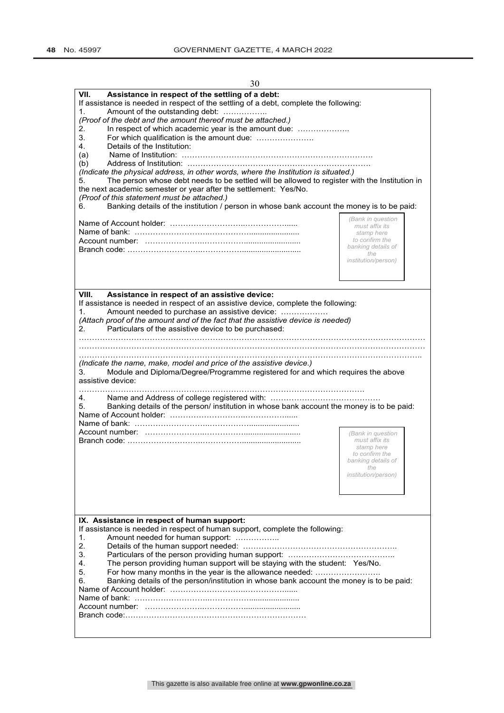| 30                                                                                                                                                                                                                                                                                                                                                                                                                                                                                                                                                                                                                                                                                                                                                                                                                                                   |                                                                                                                         |
|------------------------------------------------------------------------------------------------------------------------------------------------------------------------------------------------------------------------------------------------------------------------------------------------------------------------------------------------------------------------------------------------------------------------------------------------------------------------------------------------------------------------------------------------------------------------------------------------------------------------------------------------------------------------------------------------------------------------------------------------------------------------------------------------------------------------------------------------------|-------------------------------------------------------------------------------------------------------------------------|
| VII.<br>Assistance in respect of the settling of a debt:<br>If assistance is needed in respect of the settling of a debt, complete the following:<br>Amount of the outstanding debt:<br>1.<br>(Proof of the debt and the amount thereof must be attached.)<br>In respect of which academic year is the amount due:<br>2.<br>For which qualification is the amount due:<br>3.<br>4.<br>Details of the Institution:<br>(a)<br>(b)<br>(Indicate the physical address, in other words, where the Institution is situated.)<br>The person whose debt needs to be settled will be allowed to register with the Institution in<br>5.<br>the next academic semester or year after the settlement: Yes/No.<br>(Proof of this statement must be attached.)<br>Banking details of the institution / person in whose bank account the money is to be paid:<br>6. | (Bank in question<br>must affix its<br>stamp here<br>to confirm the<br>banking details of<br>the<br>institution/person) |
| VIII.<br>Assistance in respect of an assistive device:<br>If assistance is needed in respect of an assistive device, complete the following:<br>Amount needed to purchase an assistive device:<br>1.<br>(Attach proof of the amount and of the fact that the assistive device is needed)<br>2.<br>Particulars of the assistive device to be purchased:<br>(Indicate the name, make, model and price of the assistive device.)<br>Module and Diploma/Degree/Programme registered for and which requires the above<br>3.<br>assistive device:<br>4.<br>Banking details of the person/ institution in whose bank account the money is to be paid:<br>5.                                                                                                                                                                                                 | (Bank in question<br>must affix its                                                                                     |
| IX. Assistance in respect of human support:<br>If assistance is needed in respect of human support, complete the following:<br>1.<br>Amount needed for human support:<br>2.<br>3.<br>4.<br>The person providing human support will be staying with the student: Yes/No.<br>5.<br>For how many months in the year is the allowance needed:<br>Banking details of the person/institution in whose bank account the money is to be paid:<br>6.                                                                                                                                                                                                                                                                                                                                                                                                          | stamp here<br>to confirm the<br>banking details of<br>the<br><i>institution/person)</i>                                 |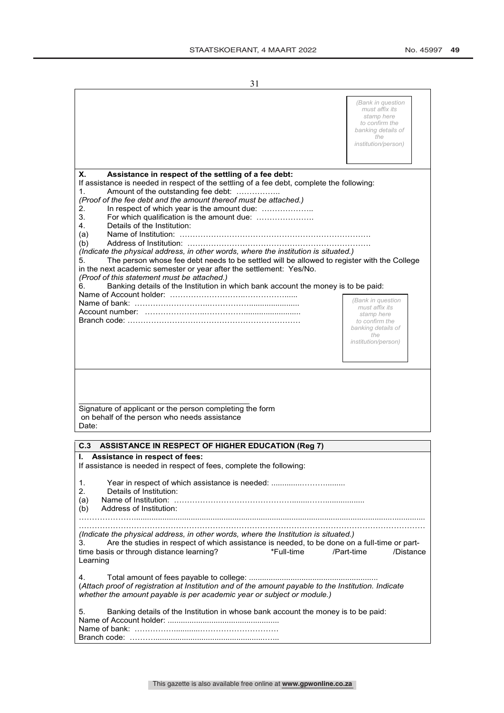|                                                                                                                                                                                                                                                                                                                                                                                                                                                                                                                                                                                                                                                                                                                                                                                                                            | (Bank in question<br>must affix its<br>stamp here<br>to confirm the<br>banking details of<br>the<br>institution/person) |
|----------------------------------------------------------------------------------------------------------------------------------------------------------------------------------------------------------------------------------------------------------------------------------------------------------------------------------------------------------------------------------------------------------------------------------------------------------------------------------------------------------------------------------------------------------------------------------------------------------------------------------------------------------------------------------------------------------------------------------------------------------------------------------------------------------------------------|-------------------------------------------------------------------------------------------------------------------------|
| Х.<br>Assistance in respect of the settling of a fee debt:<br>If assistance is needed in respect of the settling of a fee debt, complete the following:<br>Amount of the outstanding fee debt:<br>1.<br>(Proof of the fee debt and the amount thereof must be attached.)<br>2.<br>In respect of which year is the amount due:<br>3.<br>Details of the Institution:<br>4.<br>Name of Institution:<br>(a)<br>(b)<br>(Indicate the physical address, in other words, where the institution is situated.)<br>The person whose fee debt needs to be settled will be allowed to register with the College<br>5.<br>in the next academic semester or year after the settlement: Yes/No.<br>(Proof of this statement must be attached.)<br>Banking details of the Institution in which bank account the money is to be paid:<br>6. |                                                                                                                         |
|                                                                                                                                                                                                                                                                                                                                                                                                                                                                                                                                                                                                                                                                                                                                                                                                                            | (Bank in question<br>must affix its<br>stamp here<br>to confirm the<br>banking details of<br>the<br>institution/person) |
| Signature of applicant or the person completing the form<br>on behalf of the person who needs assistance<br>Date:                                                                                                                                                                                                                                                                                                                                                                                                                                                                                                                                                                                                                                                                                                          |                                                                                                                         |
| C.3<br><b>ASSISTANCE IN RESPECT OF HIGHER EDUCATION (Reg 7)</b>                                                                                                                                                                                                                                                                                                                                                                                                                                                                                                                                                                                                                                                                                                                                                            |                                                                                                                         |
| Assistance in respect of fees:<br>ı.<br>If assistance is needed in respect of fees, complete the following:<br>1.<br>2.<br>Details of Institution:<br>(a)<br>Address of Institution:<br>(b)                                                                                                                                                                                                                                                                                                                                                                                                                                                                                                                                                                                                                                |                                                                                                                         |
| (Indicate the physical address, in other words, where the Institution is situated.)<br>Are the studies in respect of which assistance is needed, to be done on a full-time or part-<br>3.<br>time basis or through distance learning?<br>*Full-time<br>Learning                                                                                                                                                                                                                                                                                                                                                                                                                                                                                                                                                            | /Part-time<br>/Distance                                                                                                 |
| 4.<br>(Attach proof of registration at Institution and of the amount payable to the Institution. Indicate<br>whether the amount payable is per academic year or subject or module.)                                                                                                                                                                                                                                                                                                                                                                                                                                                                                                                                                                                                                                        |                                                                                                                         |
| Banking details of the Institution in whose bank account the money is to be paid:<br>5.                                                                                                                                                                                                                                                                                                                                                                                                                                                                                                                                                                                                                                                                                                                                    |                                                                                                                         |

Branch code: ………...................................................…...

This gazette is also available free online at **www.gpwonline.co.za**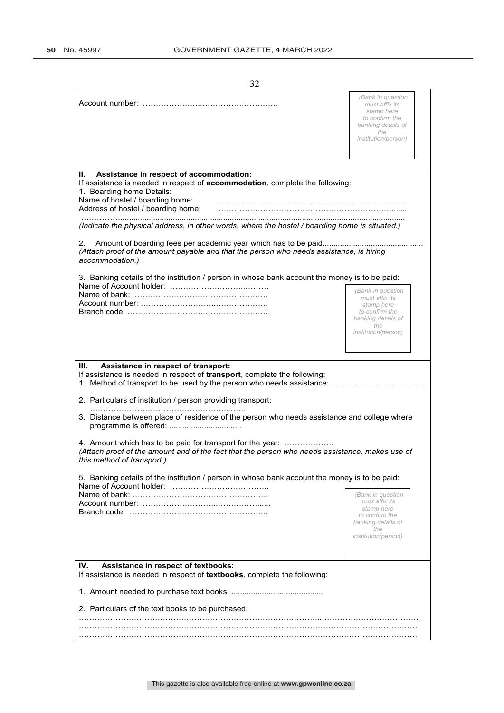| 32                                                                                                                                                                                                                                                                                                                                                                                                                                                                                                                                                         |                                                                                                                                |
|------------------------------------------------------------------------------------------------------------------------------------------------------------------------------------------------------------------------------------------------------------------------------------------------------------------------------------------------------------------------------------------------------------------------------------------------------------------------------------------------------------------------------------------------------------|--------------------------------------------------------------------------------------------------------------------------------|
|                                                                                                                                                                                                                                                                                                                                                                                                                                                                                                                                                            | (Bank in question<br>must affix its<br>stamp here<br>to confirm the<br>banking details of<br>the<br>institution/person)        |
| Н.<br>Assistance in respect of accommodation:<br>If assistance is needed in respect of accommodation, complete the following:<br>1. Boarding home Details:<br>Name of hostel / boarding home:<br>Address of hostel / boarding home:<br>(Indicate the physical address, in other words, where the hostel / boarding home is situated.)<br>2.<br>(Attach proof of the amount payable and that the person who needs assistance, is hiring<br>accommodation.)<br>3. Banking details of the institution / person in whose bank account the money is to be paid: |                                                                                                                                |
|                                                                                                                                                                                                                                                                                                                                                                                                                                                                                                                                                            | (Bank in question<br>must affix its<br>stamp here<br>to confirm the<br>banking details of<br>the<br><i>institution/person)</i> |
| Assistance in respect of transport:<br>Ш.<br>If assistance is needed in respect of transport, complete the following:<br>2. Particulars of institution / person providing transport:<br>3. Distance between place of residence of the person who needs assistance and college where<br>4. Amount which has to be paid for transport for the year:<br>(Attach proof of the amount and of the fact that the person who needs assistance, makes use of<br>this method of transport.)                                                                          |                                                                                                                                |
| 5. Banking details of the institution / person in whose bank account the money is to be paid:                                                                                                                                                                                                                                                                                                                                                                                                                                                              | (Bank in question<br>must affix its<br>stamp here<br>to confirm the<br>banking details of<br>the<br><i>institution/person)</i> |
| Assistance in respect of textbooks:<br>IV.<br>If assistance is needed in respect of textbooks, complete the following:<br>2. Particulars of the text books to be purchased:                                                                                                                                                                                                                                                                                                                                                                                |                                                                                                                                |
|                                                                                                                                                                                                                                                                                                                                                                                                                                                                                                                                                            |                                                                                                                                |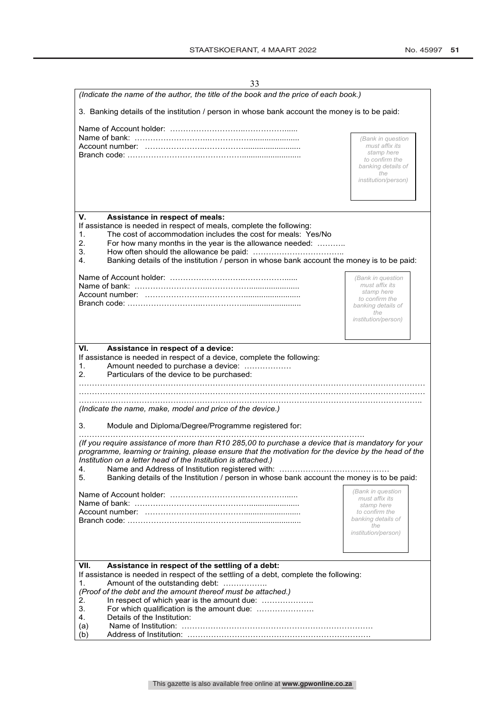| 33                                                                                                                                                                                                                                                                                                                                                                                                                                                                                                                                                                                                                                                                                                                                       |                                                                                                                                |
|------------------------------------------------------------------------------------------------------------------------------------------------------------------------------------------------------------------------------------------------------------------------------------------------------------------------------------------------------------------------------------------------------------------------------------------------------------------------------------------------------------------------------------------------------------------------------------------------------------------------------------------------------------------------------------------------------------------------------------------|--------------------------------------------------------------------------------------------------------------------------------|
| (Indicate the name of the author, the title of the book and the price of each book.)                                                                                                                                                                                                                                                                                                                                                                                                                                                                                                                                                                                                                                                     |                                                                                                                                |
| 3. Banking details of the institution / person in whose bank account the money is to be paid:                                                                                                                                                                                                                                                                                                                                                                                                                                                                                                                                                                                                                                            |                                                                                                                                |
|                                                                                                                                                                                                                                                                                                                                                                                                                                                                                                                                                                                                                                                                                                                                          | (Bank in question<br>must affix its<br>stamp here<br>to confirm the<br>banking details of<br>the<br>institution/person)        |
| V.<br>Assistance in respect of meals:<br>If assistance is needed in respect of meals, complete the following:<br>The cost of accommodation includes the cost for meals: Yes/No<br>1.<br>2.<br>For how many months in the year is the allowance needed:<br>3.<br>Banking details of the institution / person in whose bank account the money is to be paid:<br>4.                                                                                                                                                                                                                                                                                                                                                                         |                                                                                                                                |
|                                                                                                                                                                                                                                                                                                                                                                                                                                                                                                                                                                                                                                                                                                                                          | (Bank in question<br>must affix its<br>stamp here<br>to confirm the<br>banking details of<br>the<br><i>institution/person)</i> |
| VI.<br>Assistance in respect of a device:<br>If assistance is needed in respect of a device, complete the following:<br>Amount needed to purchase a device:<br>1.<br>2.<br>Particulars of the device to be purchased:<br>(Indicate the name, make, model and price of the device.)<br>3.<br>Module and Diploma/Degree/Programme registered for:<br>(If you require assistance of more than R10 285,00 to purchase a device that is mandatory for your<br>programme, learning or training, please ensure that the motivation for the device by the head of the<br>Institution on a letter head of the Institution is attached.)<br>4.<br>Banking details of the Institution / person in whose bank account the money is to be paid:<br>5. |                                                                                                                                |
|                                                                                                                                                                                                                                                                                                                                                                                                                                                                                                                                                                                                                                                                                                                                          | (Bank in question<br>must affix its<br>stamp here<br>to confirm the<br>banking details of<br>the<br>institution/person)        |
| VII.<br>Assistance in respect of the settling of a debt:<br>If assistance is needed in respect of the settling of a debt, complete the following:<br>Amount of the outstanding debt:<br>1.<br>(Proof of the debt and the amount thereof must be attached.)<br>In respect of which year is the amount due:<br>2.<br>3.<br>For which qualification is the amount due:<br>Details of the Institution:<br>4.<br>(a)<br>(b)                                                                                                                                                                                                                                                                                                                   |                                                                                                                                |

This gazette is also available free online at **www.gpwonline.co.za**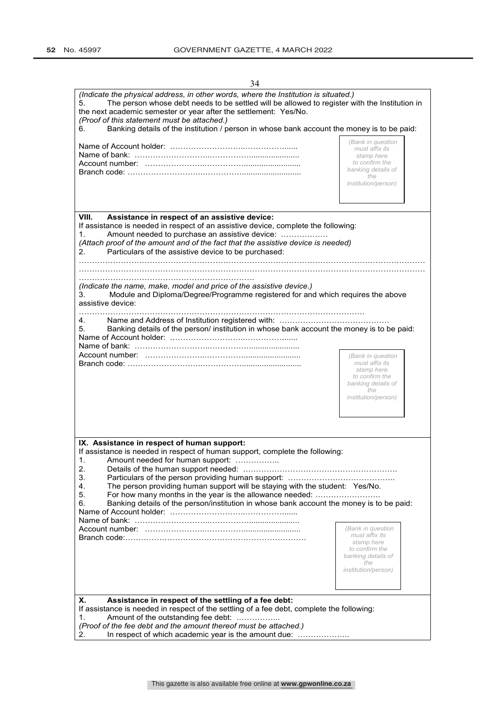| 34                                                                                                                                                                                                                                                                                                                                                                                                                                          |                                                                                                                                |
|---------------------------------------------------------------------------------------------------------------------------------------------------------------------------------------------------------------------------------------------------------------------------------------------------------------------------------------------------------------------------------------------------------------------------------------------|--------------------------------------------------------------------------------------------------------------------------------|
| (Indicate the physical address, in other words, where the Institution is situated.)<br>The person whose debt needs to be settled will be allowed to register with the Institution in<br>5.<br>the next academic semester or year after the settlement: Yes/No.<br>(Proof of this statement must be attached.)<br>Banking details of the institution / person in whose bank account the money is to be paid:<br>6.                           |                                                                                                                                |
|                                                                                                                                                                                                                                                                                                                                                                                                                                             | (Bank in question<br>must affix its<br>stamp here<br>to confirm the<br>banking details of<br>the<br><i>institution/person)</i> |
| VIII.<br>Assistance in respect of an assistive device:<br>If assistance is needed in respect of an assistive device, complete the following:<br>Amount needed to purchase an assistive device:<br>1.<br>(Attach proof of the amount and of the fact that the assistive device is needed)<br>Particulars of the assistive device to be purchased:<br>2.<br>(Indicate the name, make, model and price of the assistive device.)               |                                                                                                                                |
| Module and Diploma/Degree/Programme registered for and which requires the above<br>3.<br>assistive device:                                                                                                                                                                                                                                                                                                                                  |                                                                                                                                |
| 4.<br>Banking details of the person/ institution in whose bank account the money is to be paid:<br>5.                                                                                                                                                                                                                                                                                                                                       | (Bank in question<br>must affix its<br>stamp here<br>to confirm the<br>banking details of<br>the<br>institution/person)        |
| IX. Assistance in respect of human support:<br>If assistance is needed in respect of human support, complete the following:<br>Amount needed for human support:<br>1.<br>2.<br>3.<br>4.<br>The person providing human support will be staying with the student: Yes/No.<br>For how many months in the year is the allowance needed:<br>5.<br>6.<br>Banking details of the person/institution in whose bank account the money is to be paid: | (Bank in question<br>must affix its<br>stamp here<br>to confirm the<br>banking details of<br>the<br>institution/person)        |
| Х.<br>Assistance in respect of the settling of a fee debt:<br>If assistance is needed in respect of the settling of a fee debt, complete the following:<br>Amount of the outstanding fee debt:<br>1.<br>(Proof of the fee debt and the amount thereof must be attached.)<br>In respect of which academic year is the amount due:<br>2.                                                                                                      |                                                                                                                                |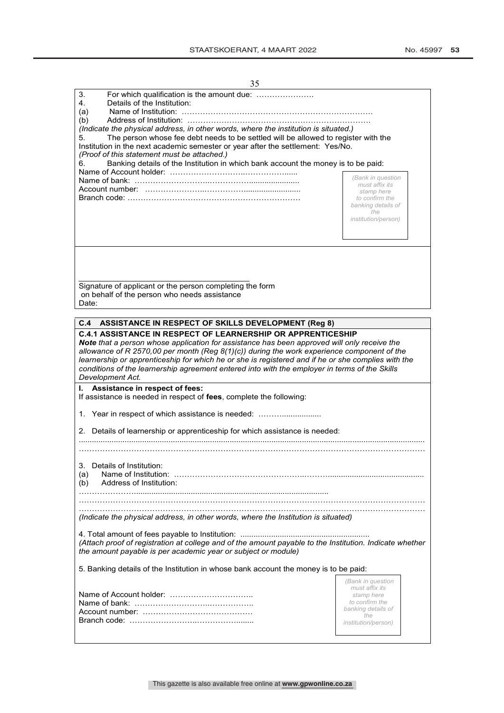| 35                                                                                                                                                                                                                                                                                                                                                                                                                             |                                                                                                                                |  |  |  |
|--------------------------------------------------------------------------------------------------------------------------------------------------------------------------------------------------------------------------------------------------------------------------------------------------------------------------------------------------------------------------------------------------------------------------------|--------------------------------------------------------------------------------------------------------------------------------|--|--|--|
| 3.<br>For which qualification is the amount due:<br>4.<br>Details of the Institution:<br>Name of Institution:<br>(a)                                                                                                                                                                                                                                                                                                           |                                                                                                                                |  |  |  |
| (b)<br>(Indicate the physical address, in other words, where the institution is situated.)<br>5.<br>The person whose fee debt needs to be settled will be allowed to register with the<br>Institution in the next academic semester or year after the settlement: Yes/No.<br>(Proof of this statement must be attached.)<br>Banking details of the Institution in which bank account the money is to be paid:<br>6.            |                                                                                                                                |  |  |  |
|                                                                                                                                                                                                                                                                                                                                                                                                                                | (Bank in question<br>must affix its<br>stamp here<br>to confirm the<br>banking details of<br>the<br><i>institution/person)</i> |  |  |  |
| Signature of applicant or the person completing the form<br>on behalf of the person who needs assistance<br>Date:                                                                                                                                                                                                                                                                                                              |                                                                                                                                |  |  |  |
|                                                                                                                                                                                                                                                                                                                                                                                                                                |                                                                                                                                |  |  |  |
| C.4<br><b>ASSISTANCE IN RESPECT OF SKILLS DEVELOPMENT (Reg 8)</b><br><b>C.4.1 ASSISTANCE IN RESPECT OF LEARNERSHIP OR APPRENTICESHIP</b>                                                                                                                                                                                                                                                                                       |                                                                                                                                |  |  |  |
| <b>Note</b> that a person whose application for assistance has been approved will only receive the<br>allowance of R 2570,00 per month (Reg $8(1)(c)$ ) during the work experience component of the<br>learnership or apprenticeship for which he or she is registered and if he or she complies with the<br>conditions of the learnership agreement entered into with the employer in terms of the Skills<br>Development Act. |                                                                                                                                |  |  |  |
| Assistance in respect of fees:<br>If assistance is needed in respect of fees, complete the following:                                                                                                                                                                                                                                                                                                                          |                                                                                                                                |  |  |  |
| 1. Year in respect of which assistance is needed:                                                                                                                                                                                                                                                                                                                                                                              |                                                                                                                                |  |  |  |
| 2. Details of learnership or apprenticeship for which assistance is needed:                                                                                                                                                                                                                                                                                                                                                    |                                                                                                                                |  |  |  |
|                                                                                                                                                                                                                                                                                                                                                                                                                                |                                                                                                                                |  |  |  |
| Details of Institution:<br>3.<br>Name of Institution:<br>(a)<br>Address of Institution:<br>(b)                                                                                                                                                                                                                                                                                                                                 |                                                                                                                                |  |  |  |
|                                                                                                                                                                                                                                                                                                                                                                                                                                |                                                                                                                                |  |  |  |
| (Indicate the physical address, in other words, where the Institution is situated)                                                                                                                                                                                                                                                                                                                                             |                                                                                                                                |  |  |  |
| (Attach proof of registration at college and of the amount payable to the Institution. Indicate whether<br>the amount payable is per academic year or subject or module)                                                                                                                                                                                                                                                       |                                                                                                                                |  |  |  |
| 5. Banking details of the Institution in whose bank account the money is to be paid:                                                                                                                                                                                                                                                                                                                                           |                                                                                                                                |  |  |  |
|                                                                                                                                                                                                                                                                                                                                                                                                                                | (Bank in question<br>must affix its<br>stamp here<br>to confirm the<br>banking details of<br>the<br><i>institution/person)</i> |  |  |  |
|                                                                                                                                                                                                                                                                                                                                                                                                                                |                                                                                                                                |  |  |  |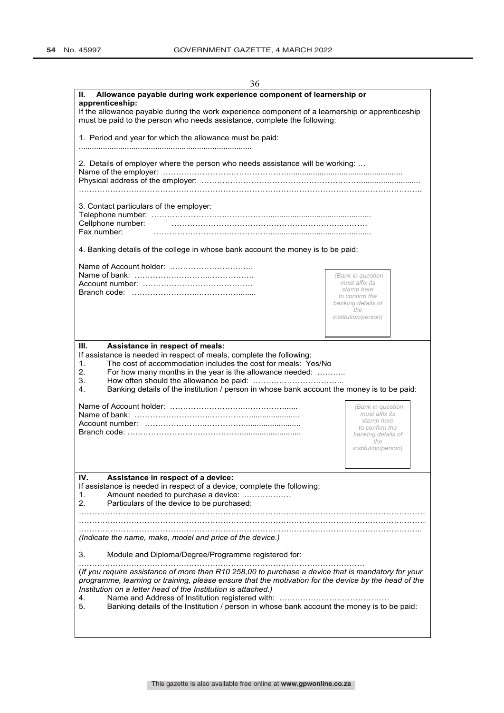| 30                                                                                                                                                                                                                                                                                                                                                                                    |                                      |  |  |  |
|---------------------------------------------------------------------------------------------------------------------------------------------------------------------------------------------------------------------------------------------------------------------------------------------------------------------------------------------------------------------------------------|--------------------------------------|--|--|--|
| Allowance payable during work experience component of learnership or<br>Н.<br>apprenticeship:                                                                                                                                                                                                                                                                                         |                                      |  |  |  |
| If the allowance payable during the work experience component of a learnership or apprenticeship<br>must be paid to the person who needs assistance, complete the following:                                                                                                                                                                                                          |                                      |  |  |  |
| 1. Period and year for which the allowance must be paid:                                                                                                                                                                                                                                                                                                                              |                                      |  |  |  |
|                                                                                                                                                                                                                                                                                                                                                                                       |                                      |  |  |  |
| 2. Details of employer where the person who needs assistance will be working:                                                                                                                                                                                                                                                                                                         |                                      |  |  |  |
|                                                                                                                                                                                                                                                                                                                                                                                       |                                      |  |  |  |
| 3. Contact particulars of the employer:                                                                                                                                                                                                                                                                                                                                               |                                      |  |  |  |
| Cellphone number:                                                                                                                                                                                                                                                                                                                                                                     |                                      |  |  |  |
| Fax number:                                                                                                                                                                                                                                                                                                                                                                           |                                      |  |  |  |
| 4. Banking details of the college in whose bank account the money is to be paid:                                                                                                                                                                                                                                                                                                      |                                      |  |  |  |
| Name of Account holder:                                                                                                                                                                                                                                                                                                                                                               |                                      |  |  |  |
|                                                                                                                                                                                                                                                                                                                                                                                       | (Bank in question                    |  |  |  |
|                                                                                                                                                                                                                                                                                                                                                                                       | must affix its                       |  |  |  |
|                                                                                                                                                                                                                                                                                                                                                                                       | stamp here                           |  |  |  |
|                                                                                                                                                                                                                                                                                                                                                                                       | to confirm the<br>banking details of |  |  |  |
|                                                                                                                                                                                                                                                                                                                                                                                       | the                                  |  |  |  |
|                                                                                                                                                                                                                                                                                                                                                                                       | <i>institution/person)</i>           |  |  |  |
|                                                                                                                                                                                                                                                                                                                                                                                       |                                      |  |  |  |
|                                                                                                                                                                                                                                                                                                                                                                                       |                                      |  |  |  |
| Ш.<br>Assistance in respect of meals:<br>If assistance is needed in respect of meals, complete the following:<br>The cost of accommodation includes the cost for meals: Yes/No<br>1.<br>2.<br>For how many months in the year is the allowance needed:<br>3.<br>Banking details of the institution / person in whose bank account the money is to be paid:<br>4.                      |                                      |  |  |  |
|                                                                                                                                                                                                                                                                                                                                                                                       | (Bank in question                    |  |  |  |
|                                                                                                                                                                                                                                                                                                                                                                                       | must affix its                       |  |  |  |
|                                                                                                                                                                                                                                                                                                                                                                                       | stamp here                           |  |  |  |
|                                                                                                                                                                                                                                                                                                                                                                                       | to confirm the<br>banking details of |  |  |  |
|                                                                                                                                                                                                                                                                                                                                                                                       | the                                  |  |  |  |
|                                                                                                                                                                                                                                                                                                                                                                                       | <i>institution/person)</i>           |  |  |  |
|                                                                                                                                                                                                                                                                                                                                                                                       |                                      |  |  |  |
|                                                                                                                                                                                                                                                                                                                                                                                       |                                      |  |  |  |
| IV.<br>Assistance in respect of a device:                                                                                                                                                                                                                                                                                                                                             |                                      |  |  |  |
| If assistance is needed in respect of a device, complete the following:                                                                                                                                                                                                                                                                                                               |                                      |  |  |  |
| Amount needed to purchase a device:<br>1.                                                                                                                                                                                                                                                                                                                                             |                                      |  |  |  |
| 2.<br>Particulars of the device to be purchased:                                                                                                                                                                                                                                                                                                                                      |                                      |  |  |  |
|                                                                                                                                                                                                                                                                                                                                                                                       |                                      |  |  |  |
|                                                                                                                                                                                                                                                                                                                                                                                       |                                      |  |  |  |
|                                                                                                                                                                                                                                                                                                                                                                                       |                                      |  |  |  |
| (Indicate the name, make, model and price of the device.)                                                                                                                                                                                                                                                                                                                             |                                      |  |  |  |
| Module and Diploma/Degree/Programme registered for:<br>3.                                                                                                                                                                                                                                                                                                                             |                                      |  |  |  |
| (If you require assistance of more than R10 258,00 to purchase a device that is mandatory for your<br>programme, learning or training, please ensure that the motivation for the device by the head of the<br>Institution on a letter head of the Institution is attached.)<br>4.<br>Banking details of the Institution / person in whose bank account the money is to be paid:<br>5. |                                      |  |  |  |
|                                                                                                                                                                                                                                                                                                                                                                                       |                                      |  |  |  |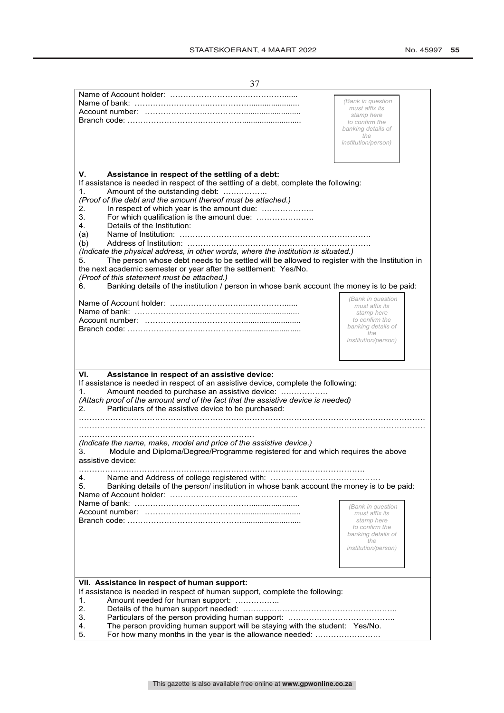| 37                                                                                                                                                                                                                                                                                                                                                                                                                                                                                                                                                                                                                                                                                                                                                                                                                                        |                                                                                                                                |
|-------------------------------------------------------------------------------------------------------------------------------------------------------------------------------------------------------------------------------------------------------------------------------------------------------------------------------------------------------------------------------------------------------------------------------------------------------------------------------------------------------------------------------------------------------------------------------------------------------------------------------------------------------------------------------------------------------------------------------------------------------------------------------------------------------------------------------------------|--------------------------------------------------------------------------------------------------------------------------------|
|                                                                                                                                                                                                                                                                                                                                                                                                                                                                                                                                                                                                                                                                                                                                                                                                                                           | (Bank in question<br>must affix its<br>stamp here<br>to confirm the<br>banking details of<br>the<br>institution/person)        |
| V.<br>Assistance in respect of the settling of a debt:<br>If assistance is needed in respect of the settling of a debt, complete the following:<br>1.<br>Amount of the outstanding debt:<br>(Proof of the debt and the amount thereof must be attached.)<br>In respect of which year is the amount due:<br>2.<br>3.<br>For which qualification is the amount due:<br>Details of the Institution:<br>4.<br>(a)<br>(b)<br>(Indicate the physical address, in other words, where the institution is situated.)<br>The person whose debt needs to be settled will be allowed to register with the Institution in<br>5.<br>the next academic semester or year after the settlement: Yes/No.<br>(Proof of this statement must be attached.)<br>Banking details of the institution / person in whose bank account the money is to be paid:<br>6. |                                                                                                                                |
|                                                                                                                                                                                                                                                                                                                                                                                                                                                                                                                                                                                                                                                                                                                                                                                                                                           | (Bank in question<br>must affix its<br>stamp here<br>to confirm the<br>banking details of<br>the<br><i>institution/person)</i> |
| VI.<br>Assistance in respect of an assistive device:<br>If assistance is needed in respect of an assistive device, complete the following:<br>Amount needed to purchase an assistive device:<br>1.<br>(Attach proof of the amount and of the fact that the assistive device is needed)<br>Particulars of the assistive device to be purchased:<br>2.<br>(Indicate the name, make, model and price of the assistive device.)<br>Module and Diploma/Degree/Programme registered for and which requires the above<br>3.<br>assistive device:                                                                                                                                                                                                                                                                                                 |                                                                                                                                |
| 4.<br>5.<br>Banking details of the person/ institution in whose bank account the money is to be paid:                                                                                                                                                                                                                                                                                                                                                                                                                                                                                                                                                                                                                                                                                                                                     | (Bank in question<br>must affix its<br>stamp here<br>to confirm the<br>banking details of<br>the<br>institution/person)        |
| VII. Assistance in respect of human support:<br>If assistance is needed in respect of human support, complete the following:<br>Amount needed for human support:<br>1.<br>2.<br>3.<br>The person providing human support will be staying with the student: Yes/No.<br>4.<br>For how many months in the year is the allowance needed:<br>5.                                                                                                                                                                                                                                                                                                                                                                                                                                                                                                |                                                                                                                                |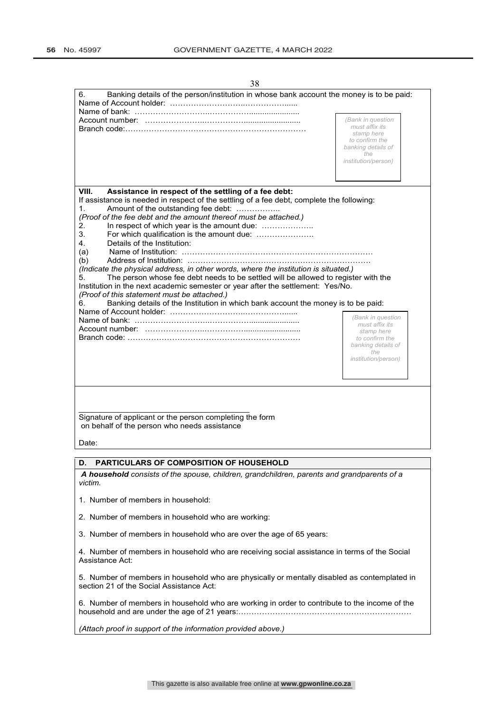| 38                                                                                                                                                                                                                                                                                                                                                                                                                                                                                                                                                                                                                                                                                                                                                                                               |                                                                                                                         |
|--------------------------------------------------------------------------------------------------------------------------------------------------------------------------------------------------------------------------------------------------------------------------------------------------------------------------------------------------------------------------------------------------------------------------------------------------------------------------------------------------------------------------------------------------------------------------------------------------------------------------------------------------------------------------------------------------------------------------------------------------------------------------------------------------|-------------------------------------------------------------------------------------------------------------------------|
| 6.<br>Banking details of the person/institution in whose bank account the money is to be paid:                                                                                                                                                                                                                                                                                                                                                                                                                                                                                                                                                                                                                                                                                                   |                                                                                                                         |
|                                                                                                                                                                                                                                                                                                                                                                                                                                                                                                                                                                                                                                                                                                                                                                                                  |                                                                                                                         |
|                                                                                                                                                                                                                                                                                                                                                                                                                                                                                                                                                                                                                                                                                                                                                                                                  | (Bank in question<br>must affix its<br>stamp here<br>to confirm the<br>banking details of<br>the<br>institution/person) |
| VIII.                                                                                                                                                                                                                                                                                                                                                                                                                                                                                                                                                                                                                                                                                                                                                                                            |                                                                                                                         |
| Assistance in respect of the settling of a fee debt:<br>If assistance is needed in respect of the settling of a fee debt, complete the following:<br>1.<br>Amount of the outstanding fee debt:<br>(Proof of the fee debt and the amount thereof must be attached.)<br>In respect of which year is the amount due:<br>2.<br>3.<br>Details of the Institution:<br>4.<br>(a)<br>(b)<br>(Indicate the physical address, in other words, where the institution is situated.)<br>The person whose fee debt needs to be settled will be allowed to register with the<br>5.<br>Institution in the next academic semester or year after the settlement: Yes/No.<br>(Proof of this statement must be attached.)<br>Banking details of the Institution in which bank account the money is to be paid:<br>6. |                                                                                                                         |
|                                                                                                                                                                                                                                                                                                                                                                                                                                                                                                                                                                                                                                                                                                                                                                                                  | (Bank in question<br>must affix its<br>stamp here<br>to confirm the<br>banking details of<br>the<br>institution/person) |
| Signature of applicant or the person completing the form<br>on behalf of the person who needs assistance<br>Date:                                                                                                                                                                                                                                                                                                                                                                                                                                                                                                                                                                                                                                                                                |                                                                                                                         |
| PARTICULARS OF COMPOSITION OF HOUSEHOLD<br>D.                                                                                                                                                                                                                                                                                                                                                                                                                                                                                                                                                                                                                                                                                                                                                    |                                                                                                                         |
| A household consists of the spouse, children, grandchildren, parents and grandparents of a<br>victim.                                                                                                                                                                                                                                                                                                                                                                                                                                                                                                                                                                                                                                                                                            |                                                                                                                         |
| 1. Number of members in household:                                                                                                                                                                                                                                                                                                                                                                                                                                                                                                                                                                                                                                                                                                                                                               |                                                                                                                         |
| 2. Number of members in household who are working:                                                                                                                                                                                                                                                                                                                                                                                                                                                                                                                                                                                                                                                                                                                                               |                                                                                                                         |
| 3. Number of members in household who are over the age of 65 years:                                                                                                                                                                                                                                                                                                                                                                                                                                                                                                                                                                                                                                                                                                                              |                                                                                                                         |
| 4. Number of members in household who are receiving social assistance in terms of the Social<br>Assistance Act:                                                                                                                                                                                                                                                                                                                                                                                                                                                                                                                                                                                                                                                                                  |                                                                                                                         |
| 5. Number of members in household who are physically or mentally disabled as contemplated in<br>section 21 of the Social Assistance Act:                                                                                                                                                                                                                                                                                                                                                                                                                                                                                                                                                                                                                                                         |                                                                                                                         |

6. Number of members in household who are working in order to contribute to the income of the household and are under the age of 21 years:…………………………………………………………

*(Attach proof in support of the information provided above.)*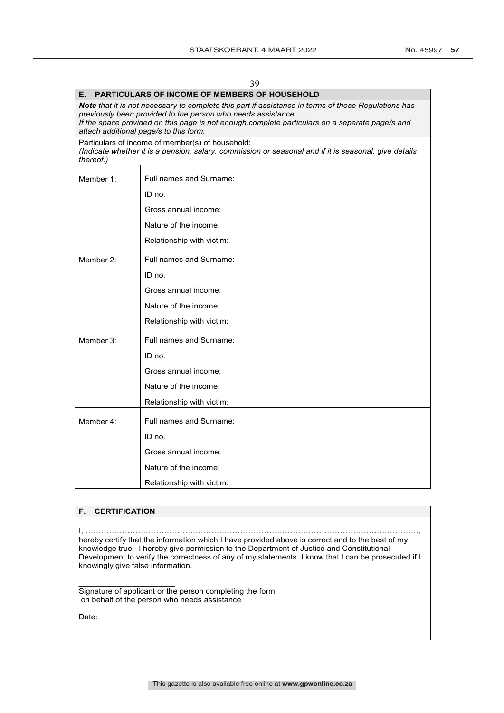| 39        |                                                                                                                                                                                                                                                                                                                  |  |  |  |  |
|-----------|------------------------------------------------------------------------------------------------------------------------------------------------------------------------------------------------------------------------------------------------------------------------------------------------------------------|--|--|--|--|
| Е.        | <b>PARTICULARS OF INCOME OF MEMBERS OF HOUSEHOLD</b>                                                                                                                                                                                                                                                             |  |  |  |  |
|           | Note that it is not necessary to complete this part if assistance in terms of these Regulations has<br>previously been provided to the person who needs assistance.<br>If the space provided on this page is not enough, complete particulars on a separate page/s and<br>attach additional page/s to this form. |  |  |  |  |
| thereof.) | Particulars of income of member(s) of household:<br>(Indicate whether it is a pension, salary, commission or seasonal and if it is seasonal, give details                                                                                                                                                        |  |  |  |  |
| Member 1: | Full names and Surname:                                                                                                                                                                                                                                                                                          |  |  |  |  |
|           | ID no.                                                                                                                                                                                                                                                                                                           |  |  |  |  |
|           | Gross annual income:                                                                                                                                                                                                                                                                                             |  |  |  |  |
|           | Nature of the income:                                                                                                                                                                                                                                                                                            |  |  |  |  |
|           | Relationship with victim:                                                                                                                                                                                                                                                                                        |  |  |  |  |
| Member 2: | Full names and Surname:                                                                                                                                                                                                                                                                                          |  |  |  |  |
|           | ID no.                                                                                                                                                                                                                                                                                                           |  |  |  |  |
|           | Gross annual income:                                                                                                                                                                                                                                                                                             |  |  |  |  |
|           | Nature of the income:                                                                                                                                                                                                                                                                                            |  |  |  |  |
|           | Relationship with victim:                                                                                                                                                                                                                                                                                        |  |  |  |  |
| Member 3: | Full names and Surname:                                                                                                                                                                                                                                                                                          |  |  |  |  |
|           | ID no.                                                                                                                                                                                                                                                                                                           |  |  |  |  |
|           | Gross annual income:                                                                                                                                                                                                                                                                                             |  |  |  |  |
|           | Nature of the income:                                                                                                                                                                                                                                                                                            |  |  |  |  |
|           | Relationship with victim:                                                                                                                                                                                                                                                                                        |  |  |  |  |
| Member 4: | Full names and Surname:                                                                                                                                                                                                                                                                                          |  |  |  |  |
|           | ID no.                                                                                                                                                                                                                                                                                                           |  |  |  |  |
|           | Gross annual income:                                                                                                                                                                                                                                                                                             |  |  |  |  |
|           | Nature of the income:                                                                                                                                                                                                                                                                                            |  |  |  |  |
|           | Relationship with victim:                                                                                                                                                                                                                                                                                        |  |  |  |  |

#### **F. CERTIFICATION**

I, ………………………………………………………………………………………………………………., hereby certify that the information which I have provided above is correct and to the best of my knowledge true. I hereby give permission to the Department of Justice and Constitutional Development to verify the correctness of any of my statements. I know that I can be prosecuted if I knowingly give false information.

 $\overline{\phantom{a}}$  , where  $\overline{\phantom{a}}$  , where  $\overline{\phantom{a}}$  , where  $\overline{\phantom{a}}$ Signature of applicant or the person completing the form on behalf of the person who needs assistance

Date: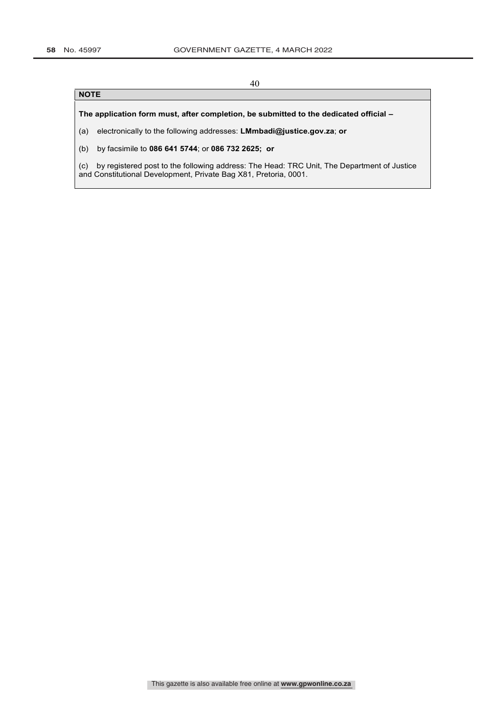### **NOTE**

**The application form must, after completion, be submitted to the dedicated official –**

(a) electronically to the following addresses: **LMmbadi@justice.gov.za**; **or**

(b) by facsimile to **086 641 5744**; or **086 732 2625; or**

(c) by registered post to the following address: The Head: TRC Unit, The Department of Justice and Constitutional Development, Private Bag X81, Pretoria, 0001.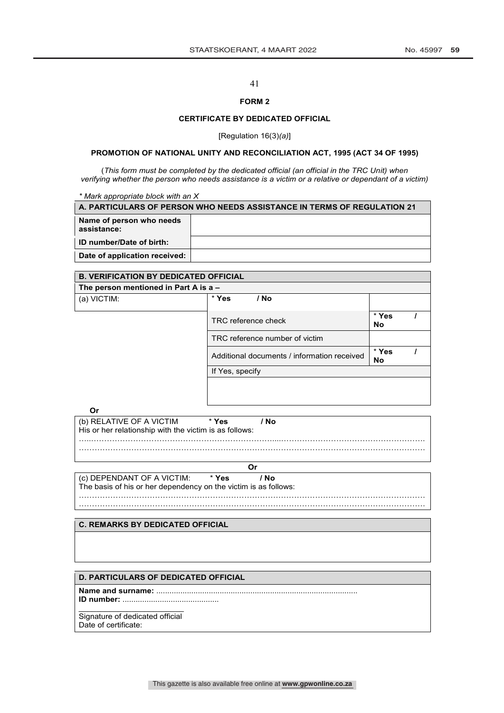## **FORM 2**

#### **CERTIFICATE BY DEDICATED OFFICIAL**

[Regulation 16(3)*(a)*]

## **PROMOTION OF NATIONAL UNITY AND RECONCILIATION ACT, 1995 (ACT 34 OF 1995)**

(*This form must be completed by the dedicated official (an official in the TRC Unit) when verifying whether the person who needs assistance is a victim or a relative or dependant of a victim)*

*\* Mark appropriate block with an X*

| A. PARTICULARS OF PERSON WHO NEEDS ASSISTANCE IN TERMS OF REGULATION 21 |  |  |  |  |
|-------------------------------------------------------------------------|--|--|--|--|
| Name of person who needs<br>assistance:                                 |  |  |  |  |
| ID number/Date of birth:                                                |  |  |  |  |
| Date of application received:                                           |  |  |  |  |
|                                                                         |  |  |  |  |

| <b>B. VERIFICATION BY DEDICATED OFFICIAL</b> |                                             |                    |  |  |
|----------------------------------------------|---------------------------------------------|--------------------|--|--|
| The person mentioned in Part A is $a -$      |                                             |                    |  |  |
| (a) VICTIM:                                  | * Yes<br>/ No                               |                    |  |  |
|                                              | TRC reference check                         | * Yes<br><b>No</b> |  |  |
|                                              | TRC reference number of victim              |                    |  |  |
|                                              | Additional documents / information received |                    |  |  |
|                                              | If Yes, specify                             |                    |  |  |
|                                              |                                             |                    |  |  |

(b) RELATIVE OF A VICTIM \* **Yes / No** His or her relationship with the victim is as follows: …..……………………………………………………………....………………………………………………. ……………………………………………………………………………………………………………………

| v<br>I |              | ٩ |
|--------|--------------|---|
| ×.     | ۰.<br>٠<br>v |   |

……………………………………………………………………………………………………………………

(c) DEPENDANT OF A VICTIM: \* **Yes / No** The basis of his or her dependency on the victim is as follows:

| ٠<br>v<br>×. |  |
|--------------|--|
|              |  |
|              |  |
|              |  |

……………………………………………………………………………………………………………………

## **C. REMARKS BY DEDICATED OFFICIAL**

#### **D. PARTICULARS OF DEDICATED OFFICIAL**

**Name and surname:** ............................................................................................

**ID number:** ............................................ \_\_\_\_\_\_\_\_\_\_\_\_\_\_\_\_\_\_\_\_\_\_\_\_

Signature of dedicated official Date of certificate: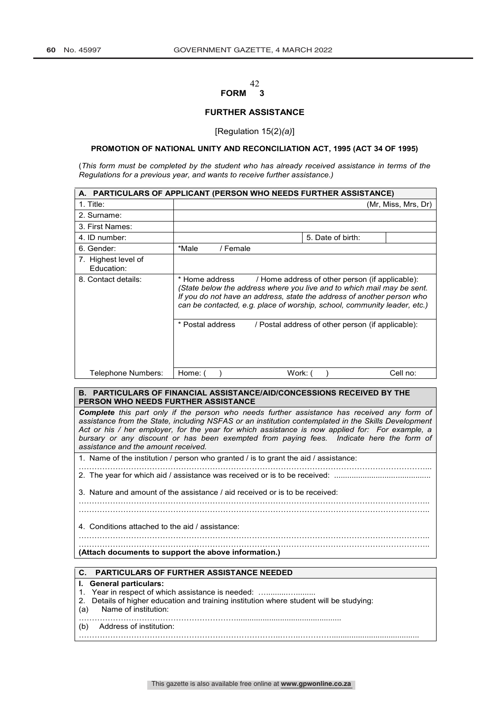### $\frac{42}{3}$ **FORM 3**

#### **FURTHER ASSISTANCE**

[Regulation 15(2)*(a)*]

#### **PROMOTION OF NATIONAL UNITY AND RECONCILIATION ACT, 1995 (ACT 34 OF 1995)**

(*This form must be completed by the student who has already received assistance in terms of the Regulations for a previous year, and wants to receive further assistance.)* 

|                                   | A. PARTICULARS OF APPLICANT (PERSON WHO NEEDS FURTHER ASSISTANCE)                                                                                                                                                                                                                                 |          |         |                                                   |  |                     |
|-----------------------------------|---------------------------------------------------------------------------------------------------------------------------------------------------------------------------------------------------------------------------------------------------------------------------------------------------|----------|---------|---------------------------------------------------|--|---------------------|
| $1.$ Title:                       |                                                                                                                                                                                                                                                                                                   |          |         |                                                   |  | (Mr. Miss. Mrs. Dr) |
| 2. Surname:                       |                                                                                                                                                                                                                                                                                                   |          |         |                                                   |  |                     |
| 3. First Names:                   |                                                                                                                                                                                                                                                                                                   |          |         |                                                   |  |                     |
| 4. ID number:                     |                                                                                                                                                                                                                                                                                                   |          |         | 5. Date of birth:                                 |  |                     |
| 6. Gender:                        | *Male                                                                                                                                                                                                                                                                                             | / Female |         |                                                   |  |                     |
| 7. Highest level of<br>Education: |                                                                                                                                                                                                                                                                                                   |          |         |                                                   |  |                     |
| 8. Contact details:               | * Home address<br>/ Home address of other person (if applicable):<br>(State below the address where you live and to which mail may be sent.<br>If you do not have an address, state the address of another person who<br>can be contacted, e.g. place of worship, school, community leader, etc.) |          |         |                                                   |  |                     |
|                                   | * Postal address                                                                                                                                                                                                                                                                                  |          |         | / Postal address of other person (if applicable): |  |                     |
| Telephone Numbers:                | Home: (                                                                                                                                                                                                                                                                                           |          | Work: ( |                                                   |  | Cell no:            |

### **B. PARTICULARS OF FINANCIAL ASSISTANCE/AID/CONCESSIONS RECEIVED BY THE PERSON WHO NEEDS FURTHER ASSISTANCE**

*Complete this part only if the person who needs further assistance has received any form of assistance from the State, including NSFAS or an institution contemplated in the Skills Development Act or his / her employer, for the year for which assistance is now applied for: For example, a bursary or any discount or has been exempted from paying fees. Indicate here the form of assistance and the amount received.*

1. Name of the institution / person who granted / is to grant the aid / assistance:

……………………………………………………………………………………………………………………... 2. The year for which aid / assistance was received or is to be received: ...................................

3. Nature and amount of the assistance / aid received or is to be received:

……………………………………………………………………………………………………………………..

……………………………………………………………………………………………………………………..

4. Conditions attached to the aid / assistance:

……………………………………………………………………………………………………………………..

**(Attach documents to support the above information.)** 

#### **C. PARTICULARS OF FURTHER ASSISTANCE NEEDED**

#### **I. General particulars:**

- 1. Year in respect of which assistance is needed: ..............................
- 2. Details of higher education and training institution where student will be studying:

(a) Name of institution:

(b) Address of institution: …………………………………………………………………..……..…………........................................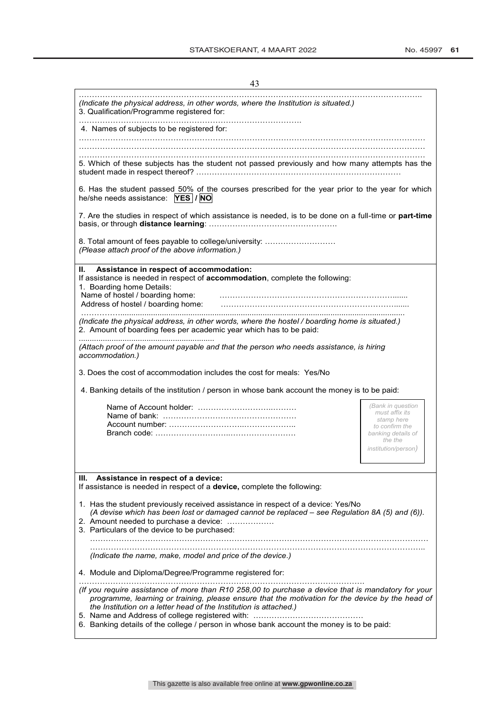| 4. Names of subjects to be registered for:                                                                                                                                                                                                                                                                                                                                                                                                                   |                                                                                                                                    |
|--------------------------------------------------------------------------------------------------------------------------------------------------------------------------------------------------------------------------------------------------------------------------------------------------------------------------------------------------------------------------------------------------------------------------------------------------------------|------------------------------------------------------------------------------------------------------------------------------------|
|                                                                                                                                                                                                                                                                                                                                                                                                                                                              |                                                                                                                                    |
| 5. Which of these subjects has the student not passed previously and how many attempts has the                                                                                                                                                                                                                                                                                                                                                               |                                                                                                                                    |
| 6. Has the student passed 50% of the courses prescribed for the year prior to the year for which<br>he/she needs assistance: YES / NO                                                                                                                                                                                                                                                                                                                        |                                                                                                                                    |
| 7. Are the studies in respect of which assistance is needed, is to be done on a full-time or part-time                                                                                                                                                                                                                                                                                                                                                       |                                                                                                                                    |
| 8. Total amount of fees payable to college/university:<br>(Please attach proof of the above information.)                                                                                                                                                                                                                                                                                                                                                    |                                                                                                                                    |
| Assistance in respect of accommodation:<br>II. I<br>If assistance is needed in respect of accommodation, complete the following:<br>1. Boarding home Details:<br>Name of hostel / boarding home:<br>Address of hostel / boarding home:                                                                                                                                                                                                                       |                                                                                                                                    |
|                                                                                                                                                                                                                                                                                                                                                                                                                                                              |                                                                                                                                    |
|                                                                                                                                                                                                                                                                                                                                                                                                                                                              |                                                                                                                                    |
|                                                                                                                                                                                                                                                                                                                                                                                                                                                              |                                                                                                                                    |
|                                                                                                                                                                                                                                                                                                                                                                                                                                                              |                                                                                                                                    |
| (Indicate the physical address, in other words, where the hostel / boarding home is situated.)<br>2. Amount of boarding fees per academic year which has to be paid:<br>(Attach proof of the amount payable and that the person who needs assistance, is hiring<br>accommodation.)<br>3. Does the cost of accommodation includes the cost for meals: Yes/No<br>4. Banking details of the institution / person in whose bank account the money is to be paid: | (Bank in question<br>must affix its<br>stamp here<br>to confirm the<br>banking details of<br>the the<br><i>institution/person)</i> |
| Ш.<br>Assistance in respect of a device:                                                                                                                                                                                                                                                                                                                                                                                                                     |                                                                                                                                    |
|                                                                                                                                                                                                                                                                                                                                                                                                                                                              |                                                                                                                                    |
| (A devise which has been lost or damaged cannot be replaced - see Regulation 8A (5) and (6)).                                                                                                                                                                                                                                                                                                                                                                |                                                                                                                                    |
| If assistance is needed in respect of a device, complete the following:<br>1. Has the student previously received assistance in respect of a device: Yes/No<br>2. Amount needed to purchase a device:<br>3. Particulars of the device to be purchased:                                                                                                                                                                                                       |                                                                                                                                    |
| (Indicate the name, make, model and price of the device.)                                                                                                                                                                                                                                                                                                                                                                                                    |                                                                                                                                    |
| 4. Module and Diploma/Degree/Programme registered for:                                                                                                                                                                                                                                                                                                                                                                                                       |                                                                                                                                    |

6. Banking details of the college / person in whose bank account the money is to be paid: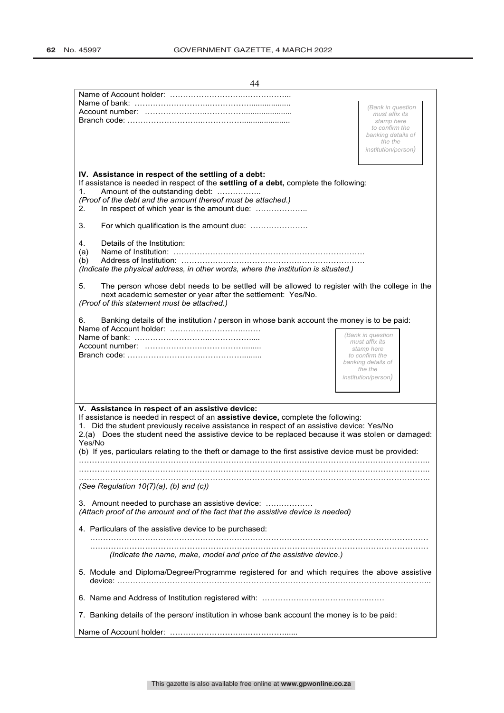| 44                                                                                                                                                                                                                                                                                                                                                                                                                                                                     |                                                                                                                                    |  |  |  |  |
|------------------------------------------------------------------------------------------------------------------------------------------------------------------------------------------------------------------------------------------------------------------------------------------------------------------------------------------------------------------------------------------------------------------------------------------------------------------------|------------------------------------------------------------------------------------------------------------------------------------|--|--|--|--|
|                                                                                                                                                                                                                                                                                                                                                                                                                                                                        | (Bank in question<br>must affix its<br>stamp here<br>to confirm the<br>banking details of<br>the the                               |  |  |  |  |
| <i>institution/person)</i>                                                                                                                                                                                                                                                                                                                                                                                                                                             |                                                                                                                                    |  |  |  |  |
| IV. Assistance in respect of the settling of a debt:<br>If assistance is needed in respect of the settling of a debt, complete the following:<br>Amount of the outstanding debt:<br>1.<br>(Proof of the debt and the amount thereof must be attached.)<br>In respect of which year is the amount due:<br>2.<br>3.<br>Details of the Institution:                                                                                                                       |                                                                                                                                    |  |  |  |  |
| 4.<br>(a)<br>(b)<br>(Indicate the physical address, in other words, where the institution is situated.)                                                                                                                                                                                                                                                                                                                                                                |                                                                                                                                    |  |  |  |  |
| 5.<br>The person whose debt needs to be settled will be allowed to register with the college in the<br>next academic semester or year after the settlement: Yes/No.<br>(Proof of this statement must be attached.)                                                                                                                                                                                                                                                     |                                                                                                                                    |  |  |  |  |
| Banking details of the institution / person in whose bank account the money is to be paid:<br>6.                                                                                                                                                                                                                                                                                                                                                                       | (Bank in question<br>must affix its<br>stamp here<br>to confirm the<br>banking details of<br>the the<br><i>institution/person)</i> |  |  |  |  |
| V. Assistance in respect of an assistive device:<br>If assistance is needed in respect of an <b>assistive device</b> , complete the following:<br>1. Did the student previously receive assistance in respect of an assistive device: Yes/No<br>2.(a) Does the student need the assistive device to be replaced because it was stolen or damaged:<br>Yes/No<br>(b) If yes, particulars relating to the theft or damage to the first assistive device must be provided: |                                                                                                                                    |  |  |  |  |
| (See Regulation $10(7)(a)$ , (b) and (c))                                                                                                                                                                                                                                                                                                                                                                                                                              |                                                                                                                                    |  |  |  |  |
| 3. Amount needed to purchase an assistive device:<br>(Attach proof of the amount and of the fact that the assistive device is needed)                                                                                                                                                                                                                                                                                                                                  |                                                                                                                                    |  |  |  |  |
| 4. Particulars of the assistive device to be purchased:                                                                                                                                                                                                                                                                                                                                                                                                                |                                                                                                                                    |  |  |  |  |
| (Indicate the name, make, model and price of the assistive device.)<br>5. Module and Diploma/Degree/Programme registered for and which requires the above assistive                                                                                                                                                                                                                                                                                                    |                                                                                                                                    |  |  |  |  |
|                                                                                                                                                                                                                                                                                                                                                                                                                                                                        |                                                                                                                                    |  |  |  |  |
| 7. Banking details of the person/ institution in whose bank account the money is to be paid:                                                                                                                                                                                                                                                                                                                                                                           |                                                                                                                                    |  |  |  |  |
|                                                                                                                                                                                                                                                                                                                                                                                                                                                                        |                                                                                                                                    |  |  |  |  |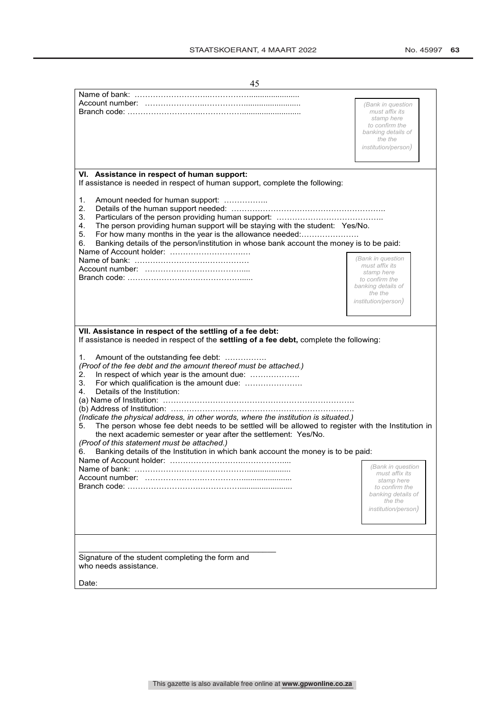| 45                                                                                                                                                               |                                                             |
|------------------------------------------------------------------------------------------------------------------------------------------------------------------|-------------------------------------------------------------|
|                                                                                                                                                                  |                                                             |
|                                                                                                                                                                  | (Bank in question                                           |
|                                                                                                                                                                  | must affix its<br>stamp here<br>to confirm the              |
|                                                                                                                                                                  | banking details of<br>the the<br><i>institution/person)</i> |
|                                                                                                                                                                  |                                                             |
|                                                                                                                                                                  |                                                             |
| VI. Assistance in respect of human support:<br>If assistance is needed in respect of human support, complete the following:                                      |                                                             |
| Amount needed for human support:<br>1.<br>2.                                                                                                                     |                                                             |
| 3.<br>The person providing human support will be staying with the student: Yes/No.<br>4.                                                                         |                                                             |
| For how many months in the year is the allowance needed:<br>5.<br>Banking details of the person/institution in whose bank account the money is to be paid:<br>6. |                                                             |
| Name of Account holder:                                                                                                                                          | (Bank in question                                           |
|                                                                                                                                                                  | must affix its                                              |
| Branch code: …………………………………………                                                                                                                                    | stamp here<br>to confirm the                                |
|                                                                                                                                                                  | banking details of<br>the the                               |
|                                                                                                                                                                  | <i>institution/person)</i>                                  |
|                                                                                                                                                                  |                                                             |
|                                                                                                                                                                  |                                                             |
| VII. Assistance in respect of the settling of a fee debt:<br>If assistance is needed in respect of the settling of a fee debt, complete the following:           |                                                             |
| Amount of the outstanding fee debt:<br>1.<br>(Proof of the fee debt and the amount thereof must be attached.)                                                    |                                                             |
| In respect of which year is the amount due:<br>2.<br>For which qualification is the amount due:<br>3.                                                            |                                                             |
| 4.<br>Details of the Institution:                                                                                                                                |                                                             |
|                                                                                                                                                                  |                                                             |
| (Indicate the physical address, in other words, where the institution is situated.)                                                                              |                                                             |
| The person whose fee debt needs to be settled will be allowed to register with the Institution in<br>5.                                                          |                                                             |
| the next academic semester or year after the settlement: Yes/No.                                                                                                 |                                                             |
| (Proof of this statement must be attached.)<br>Banking details of the Institution in which bank account the money is to be paid:<br>6.                           |                                                             |
|                                                                                                                                                                  |                                                             |
|                                                                                                                                                                  | (Bank in question<br>must affix its                         |
|                                                                                                                                                                  | stamp here                                                  |
|                                                                                                                                                                  | to confirm the<br>banking details of                        |
|                                                                                                                                                                  | the the                                                     |
|                                                                                                                                                                  | <i>institution/person</i> )                                 |
|                                                                                                                                                                  |                                                             |
|                                                                                                                                                                  |                                                             |
| Signature of the student completing the form and                                                                                                                 |                                                             |
| who needs assistance.                                                                                                                                            |                                                             |
| Date:                                                                                                                                                            |                                                             |
|                                                                                                                                                                  |                                                             |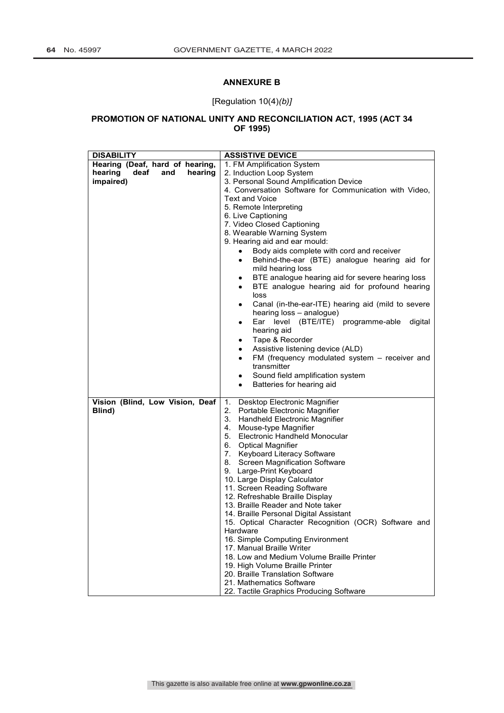## **ANNEXURE B**

## [Regulation 10(4)*(b)]*

## **PROMOTION OF NATIONAL UNITY AND RECONCILIATION ACT, 1995 (ACT 34 OF 1995)**

| Hearing (Deaf, hard of hearing,<br>1. FM Amplification System<br>hearing<br>deaf<br>hearing<br>and<br>2. Induction Loop System |                                  |  |  |  |  |
|--------------------------------------------------------------------------------------------------------------------------------|----------------------------------|--|--|--|--|
|                                                                                                                                |                                  |  |  |  |  |
|                                                                                                                                |                                  |  |  |  |  |
| impaired)<br>3. Personal Sound Amplification Device                                                                            |                                  |  |  |  |  |
| 4. Conversation Software for Communication with Video,                                                                         |                                  |  |  |  |  |
| <b>Text and Voice</b>                                                                                                          |                                  |  |  |  |  |
| 5. Remote Interpreting                                                                                                         |                                  |  |  |  |  |
|                                                                                                                                | 6. Live Captioning               |  |  |  |  |
|                                                                                                                                | 7. Video Closed Captioning       |  |  |  |  |
| 8. Wearable Warning System                                                                                                     |                                  |  |  |  |  |
| 9. Hearing aid and ear mould:                                                                                                  |                                  |  |  |  |  |
| Body aids complete with cord and receiver                                                                                      |                                  |  |  |  |  |
| Behind-the-ear (BTE) analogue hearing aid for<br>٠                                                                             |                                  |  |  |  |  |
| mild hearing loss                                                                                                              |                                  |  |  |  |  |
| BTE analogue hearing aid for severe hearing loss<br>٠                                                                          |                                  |  |  |  |  |
| BTE analogue hearing aid for profound hearing                                                                                  |                                  |  |  |  |  |
| loss                                                                                                                           |                                  |  |  |  |  |
| Canal (in-the-ear-ITE) hearing aid (mild to severe<br>٠                                                                        |                                  |  |  |  |  |
| hearing loss - analogue)                                                                                                       |                                  |  |  |  |  |
| Ear level (BTE/ITE) programme-able                                                                                             | digital                          |  |  |  |  |
| hearing aid                                                                                                                    |                                  |  |  |  |  |
| Tape & Recorder                                                                                                                |                                  |  |  |  |  |
| Assistive listening device (ALD)                                                                                               |                                  |  |  |  |  |
| FM (frequency modulated system - receiver and                                                                                  |                                  |  |  |  |  |
| transmitter                                                                                                                    |                                  |  |  |  |  |
|                                                                                                                                | Sound field amplification system |  |  |  |  |
| Batteries for hearing aid                                                                                                      |                                  |  |  |  |  |
| Vision (Blind, Low Vision, Deaf<br>Desktop Electronic Magnifier<br>1.                                                          |                                  |  |  |  |  |
| 2.<br>Portable Electronic Magnifier<br>Blind)                                                                                  |                                  |  |  |  |  |
| 3.<br>Handheld Electronic Magnifier                                                                                            |                                  |  |  |  |  |
| 4. Mouse-type Magnifier                                                                                                        |                                  |  |  |  |  |
| 5. Electronic Handheld Monocular                                                                                               |                                  |  |  |  |  |
| 6. Optical Magnifier                                                                                                           |                                  |  |  |  |  |
| 7. Keyboard Literacy Software                                                                                                  |                                  |  |  |  |  |
| 8. Screen Magnification Software                                                                                               |                                  |  |  |  |  |
| 9. Large-Print Keyboard                                                                                                        |                                  |  |  |  |  |
| 10. Large Display Calculator                                                                                                   |                                  |  |  |  |  |
| 11. Screen Reading Software                                                                                                    |                                  |  |  |  |  |
| 12. Refreshable Braille Display                                                                                                |                                  |  |  |  |  |
| 13. Braille Reader and Note taker                                                                                              |                                  |  |  |  |  |
| 14. Braille Personal Digital Assistant                                                                                         |                                  |  |  |  |  |
| 15. Optical Character Recognition (OCR) Software and                                                                           |                                  |  |  |  |  |
| Hardware                                                                                                                       |                                  |  |  |  |  |
| 16. Simple Computing Environment                                                                                               |                                  |  |  |  |  |
|                                                                                                                                |                                  |  |  |  |  |
| 17. Manual Braille Writer                                                                                                      |                                  |  |  |  |  |
| 18. Low and Medium Volume Braille Printer                                                                                      |                                  |  |  |  |  |
| 19. High Volume Braille Printer                                                                                                |                                  |  |  |  |  |
| 20. Braille Translation Software<br>21. Mathematics Software                                                                   |                                  |  |  |  |  |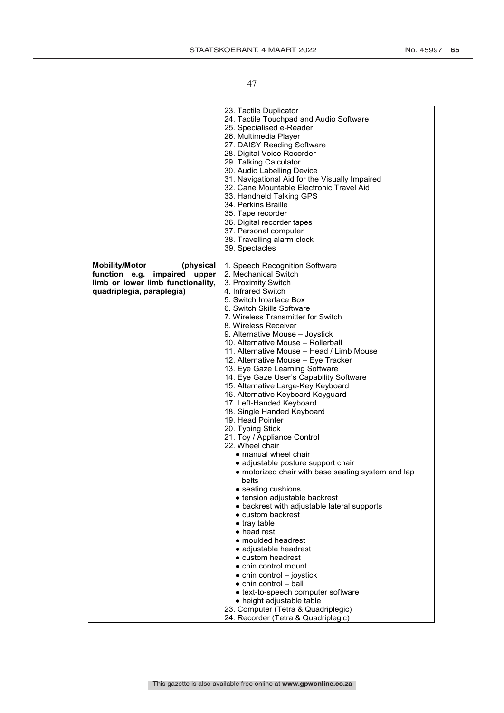|                                                                                                                                            | 23. Tactile Duplicator<br>24. Tactile Touchpad and Audio Software<br>25. Specialised e-Reader<br>26. Multimedia Player<br>27. DAISY Reading Software<br>28. Digital Voice Recorder<br>29. Talking Calculator<br>30. Audio Labelling Device<br>31. Navigational Aid for the Visually Impaired<br>32. Cane Mountable Electronic Travel Aid<br>33. Handheld Talking GPS<br>34. Perkins Braille<br>35. Tape recorder<br>36. Digital recorder tapes<br>37. Personal computer<br>38. Travelling alarm clock<br>39. Spectacles                                                                                                                                                                                                                                                                                                                                                                                                                                                                                                                                                                                                                                                                                                                                                                                                                                      |
|--------------------------------------------------------------------------------------------------------------------------------------------|--------------------------------------------------------------------------------------------------------------------------------------------------------------------------------------------------------------------------------------------------------------------------------------------------------------------------------------------------------------------------------------------------------------------------------------------------------------------------------------------------------------------------------------------------------------------------------------------------------------------------------------------------------------------------------------------------------------------------------------------------------------------------------------------------------------------------------------------------------------------------------------------------------------------------------------------------------------------------------------------------------------------------------------------------------------------------------------------------------------------------------------------------------------------------------------------------------------------------------------------------------------------------------------------------------------------------------------------------------------|
| <b>Mobility/Motor</b><br>(physical<br>function e.g.<br>impaired<br>upper<br>limb or lower limb functionality,<br>quadriplegia, paraplegia) | 1. Speech Recognition Software<br>2. Mechanical Switch<br>3. Proximity Switch<br>4. Infrared Switch<br>5. Switch Interface Box<br>6. Switch Skills Software<br>7. Wireless Transmitter for Switch<br>8. Wireless Receiver<br>9. Alternative Mouse – Joystick<br>10. Alternative Mouse - Rollerball<br>11. Alternative Mouse - Head / Limb Mouse<br>12. Alternative Mouse - Eye Tracker<br>13. Eye Gaze Learning Software<br>14. Eye Gaze User's Capability Software<br>15. Alternative Large-Key Keyboard<br>16. Alternative Keyboard Keyguard<br>17. Left-Handed Keyboard<br>18. Single Handed Keyboard<br>19. Head Pointer<br>20. Typing Stick<br>21. Toy / Appliance Control<br>22. Wheel chair<br>$\bullet$ manual wheel chair<br>• adjustable posture support chair<br>• motorized chair with base seating system and lap<br>belts<br>• seating cushions<br>● tension adjustable backrest<br>• backrest with adjustable lateral supports<br>$\bullet$ custom backrest<br>$\bullet$ tray table<br>• head rest<br>$\bullet$ moulded headrest<br>• adjustable headrest<br>$\bullet$ custom headrest<br>$\bullet$ chin control mount<br>$\bullet$ chin control – joystick<br>$\bullet$ chin control – ball<br>• text-to-speech computer software<br>• height adjustable table<br>23. Computer (Tetra & Quadriplegic)<br>24. Recorder (Tetra & Quadriplegic) |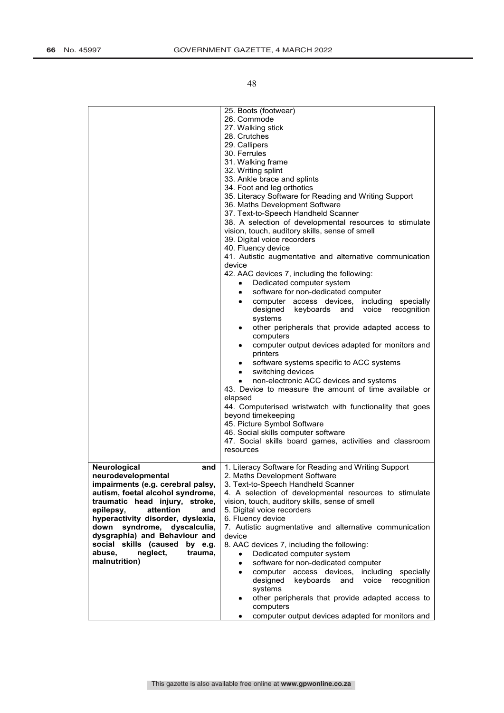|                                                                                                                                                                                                                                                                                                                                                                                  | 25. Boots (footwear)<br>26. Commode<br>27. Walking stick<br>28. Crutches<br>29. Callipers<br>30. Ferrules<br>31. Walking frame<br>32. Writing splint<br>33. Ankle brace and splints<br>34. Foot and leg orthotics<br>35. Literacy Software for Reading and Writing Support<br>36. Maths Development Software<br>37. Text-to-Speech Handheld Scanner<br>38. A selection of developmental resources to stimulate<br>vision, touch, auditory skills, sense of smell<br>39. Digital voice recorders<br>40. Fluency device<br>41. Autistic augmentative and alternative communication<br>device<br>42. AAC devices 7, including the following:<br>Dedicated computer system<br>software for non-dedicated computer<br>٠<br>computer access devices, including specially<br>٠<br>designed<br>keyboards and<br>voice recognition<br>systems<br>other peripherals that provide adapted access to<br>٠<br>computers<br>computer output devices adapted for monitors and<br>٠<br>printers<br>software systems specific to ACC systems<br>٠<br>switching devices<br>٠<br>non-electronic ACC devices and systems<br>43. Device to measure the amount of time available or<br>elapsed<br>44. Computerised wristwatch with functionality that goes<br>beyond timekeeping<br>45. Picture Symbol Software<br>46. Social skills computer software<br>47. Social skills board games, activities and classroom<br>resources |
|----------------------------------------------------------------------------------------------------------------------------------------------------------------------------------------------------------------------------------------------------------------------------------------------------------------------------------------------------------------------------------|----------------------------------------------------------------------------------------------------------------------------------------------------------------------------------------------------------------------------------------------------------------------------------------------------------------------------------------------------------------------------------------------------------------------------------------------------------------------------------------------------------------------------------------------------------------------------------------------------------------------------------------------------------------------------------------------------------------------------------------------------------------------------------------------------------------------------------------------------------------------------------------------------------------------------------------------------------------------------------------------------------------------------------------------------------------------------------------------------------------------------------------------------------------------------------------------------------------------------------------------------------------------------------------------------------------------------------------------------------------------------------------------------------|
| Neurological<br>and<br>neurodevelopmental<br>impairments (e.g. cerebral palsy,<br>autism, foetal alcohol syndrome,<br>traumatic head injury, stroke,<br>epilepsy,<br>attention<br>and<br>hyperactivity disorder, dyslexia,<br>syndrome, dyscalculia,<br>down<br>dysgraphia) and Behaviour and<br>social skills (caused by e.g.<br>abuse.<br>neglect,<br>trauma,<br>malnutrition) | 1. Literacy Software for Reading and Writing Support<br>2. Maths Development Software<br>3. Text-to-Speech Handheld Scanner<br>4. A selection of developmental resources to stimulate<br>vision, touch, auditory skills, sense of smell<br>5. Digital voice recorders<br>6. Fluency device<br>7. Autistic augmentative and alternative communication<br>device<br>8. AAC devices 7, including the following:<br>Dedicated computer system<br>software for non-dedicated computer<br>$\bullet$<br>computer access devices,<br>including<br>specially<br>٠<br>designed<br>keyboards<br>voice<br>and<br>recognition<br>systems<br>other peripherals that provide adapted access to<br>٠<br>computers<br>computer output devices adapted for monitors and<br>٠                                                                                                                                                                                                                                                                                                                                                                                                                                                                                                                                                                                                                                               |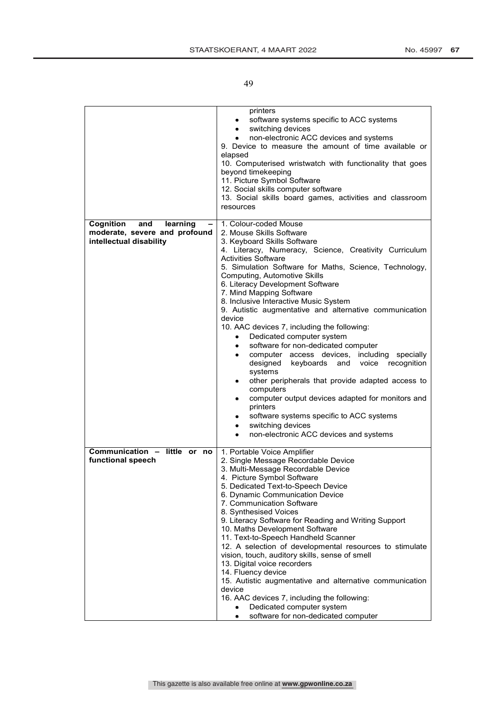|                                                          | printers<br>software systems specific to ACC systems<br>switching devices<br>٠<br>non-electronic ACC devices and systems<br>9. Device to measure the amount of time available or<br>elapsed<br>10. Computerised wristwatch with functionality that goes<br>beyond timekeeping<br>11. Picture Symbol Software<br>12. Social skills computer software<br>13. Social skills board games, activities and classroom<br>resources                                                                                                                                                                                                                                                                                                                                                                                                                                                                   |
|----------------------------------------------------------|-----------------------------------------------------------------------------------------------------------------------------------------------------------------------------------------------------------------------------------------------------------------------------------------------------------------------------------------------------------------------------------------------------------------------------------------------------------------------------------------------------------------------------------------------------------------------------------------------------------------------------------------------------------------------------------------------------------------------------------------------------------------------------------------------------------------------------------------------------------------------------------------------|
| Cognition<br>and<br>learning                             | 1. Colour-coded Mouse                                                                                                                                                                                                                                                                                                                                                                                                                                                                                                                                                                                                                                                                                                                                                                                                                                                                         |
| moderate, severe and profound<br>intellectual disability | 2. Mouse Skills Software<br>3. Keyboard Skills Software<br>4. Literacy, Numeracy, Science, Creativity Curriculum<br><b>Activities Software</b><br>5. Simulation Software for Maths, Science, Technology,<br>Computing, Automotive Skills<br>6. Literacy Development Software<br>7. Mind Mapping Software<br>8. Inclusive Interactive Music System<br>9. Autistic augmentative and alternative communication<br>device<br>10. AAC devices 7, including the following:<br>Dedicated computer system<br>software for non-dedicated computer<br>٠<br>computer access devices, including specially<br>٠<br>keyboards and<br>designed<br>voice recognition<br>systems<br>other peripherals that provide adapted access to<br>٠<br>computers<br>computer output devices adapted for monitors and<br>٠<br>printers<br>software systems specific to ACC systems<br>٠<br>switching devices<br>$\bullet$ |
|                                                          | non-electronic ACC devices and systems<br>٠                                                                                                                                                                                                                                                                                                                                                                                                                                                                                                                                                                                                                                                                                                                                                                                                                                                   |
| Communication - little or no<br>functional speech        | 1. Portable Voice Amplifier<br>2. Single Message Recordable Device<br>3. Multi-Message Recordable Device<br>4. Picture Symbol Software<br>5. Dedicated Text-to-Speech Device<br>6. Dynamic Communication Device<br>7. Communication Software<br>8. Synthesised Voices<br>9. Literacy Software for Reading and Writing Support<br>10. Maths Development Software<br>11. Text-to-Speech Handheld Scanner<br>12. A selection of developmental resources to stimulate<br>vision, touch, auditory skills, sense of smell<br>13. Digital voice recorders<br>14. Fluency device<br>15. Autistic augmentative and alternative communication<br>device<br>16. AAC devices 7, including the following:<br>Dedicated computer system<br>software for non-dedicated computer<br>٠                                                                                                                         |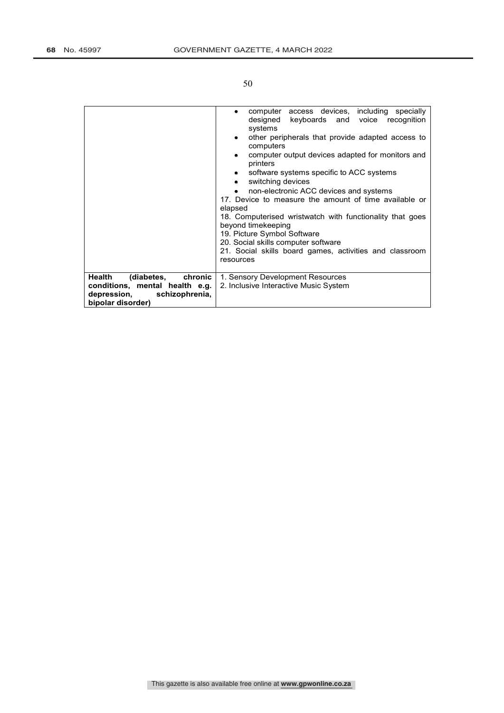|                                                                                                                           | computer access devices, including specially<br>٠<br>designed<br>keyboards and voice recognition<br>systems<br>other peripherals that provide adapted access to<br>٠<br>computers<br>computer output devices adapted for monitors and<br>٠<br>printers<br>software systems specific to ACC systems<br>٠<br>switching devices<br>٠<br>non-electronic ACC devices and systems<br>$\bullet$<br>17. Device to measure the amount of time available or<br>elapsed |
|---------------------------------------------------------------------------------------------------------------------------|--------------------------------------------------------------------------------------------------------------------------------------------------------------------------------------------------------------------------------------------------------------------------------------------------------------------------------------------------------------------------------------------------------------------------------------------------------------|
|                                                                                                                           | 18. Computerised wristwatch with functionality that goes<br>beyond timekeeping<br>19. Picture Symbol Software<br>20. Social skills computer software<br>21. Social skills board games, activities and classroom<br>resources                                                                                                                                                                                                                                 |
|                                                                                                                           |                                                                                                                                                                                                                                                                                                                                                                                                                                                              |
| Health<br>(diabetes,<br>chronic  <br>conditions, mental health e.g.<br>depression,<br>schizophrenia,<br>bipolar disorder) | 1. Sensory Development Resources<br>2. Inclusive Interactive Music System                                                                                                                                                                                                                                                                                                                                                                                    |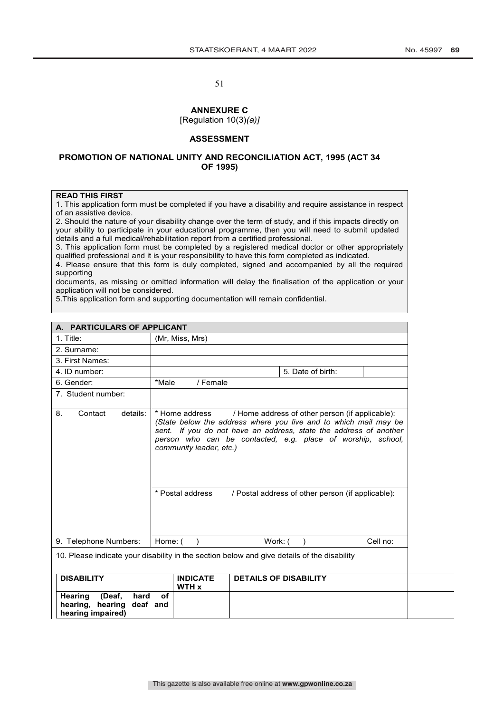# **ANNEXURE C**

[Regulation 10(3)*(a)]*

## **ASSESSMENT**

#### **PROMOTION OF NATIONAL UNITY AND RECONCILIATION ACT, 1995 (ACT 34 OF 1995)**

#### **READ THIS FIRST**

1. This application form must be completed if you have a disability and require assistance in respect of an assistive device.

2. Should the nature of your disability change over the term of study, and if this impacts directly on your ability to participate in your educational programme, then you will need to submit updated details and a full medical/rehabilitation report from a certified professional.

3. This application form must be completed by a registered medical doctor or other appropriately qualified professional and it is your responsibility to have this form completed as indicated.

4. Please ensure that this form is duly completed, signed and accompanied by all the required supporting

documents, as missing or omitted information will delay the finalisation of the application or your application will not be considered.

5.This application form and supporting documentation will remain confidential.

| A. PARTICULARS OF APPLICANT                                        |                                                                                                                                                                                                                                                                                                                                                                               |  |  |  |  |
|--------------------------------------------------------------------|-------------------------------------------------------------------------------------------------------------------------------------------------------------------------------------------------------------------------------------------------------------------------------------------------------------------------------------------------------------------------------|--|--|--|--|
| 1. Title:                                                          | (Mr, Miss, Mrs)                                                                                                                                                                                                                                                                                                                                                               |  |  |  |  |
| 2. Surname:                                                        |                                                                                                                                                                                                                                                                                                                                                                               |  |  |  |  |
| 3. First Names:                                                    |                                                                                                                                                                                                                                                                                                                                                                               |  |  |  |  |
| 4. ID number:                                                      | 5. Date of birth:                                                                                                                                                                                                                                                                                                                                                             |  |  |  |  |
| 6. Gender:                                                         | / Female<br>*Male                                                                                                                                                                                                                                                                                                                                                             |  |  |  |  |
| 7. Student number:                                                 |                                                                                                                                                                                                                                                                                                                                                                               |  |  |  |  |
| Contact<br>details:<br>8.                                          | * Home address<br>/ Home address of other person (if applicable):<br>(State below the address where you live and to which mail may be<br>sent. If you do not have an address, state the address of another<br>person who can be contacted, e.g. place of worship, school,<br>community leader, etc.)<br>* Postal address<br>/ Postal address of other person (if applicable): |  |  |  |  |
| 9. Telephone Numbers:                                              | Cell no:<br>Home: (<br>Work: (                                                                                                                                                                                                                                                                                                                                                |  |  |  |  |
|                                                                    | 10. Please indicate your disability in the section below and give details of the disability                                                                                                                                                                                                                                                                                   |  |  |  |  |
| <b>DISABILITY</b>                                                  | <b>INDICATE</b><br><b>DETAILS OF DISABILITY</b><br>WTH x                                                                                                                                                                                                                                                                                                                      |  |  |  |  |
| Hearing<br>(Deaf,<br>hard<br>hearing, hearing<br>hearing impaired) | оf<br>deaf and                                                                                                                                                                                                                                                                                                                                                                |  |  |  |  |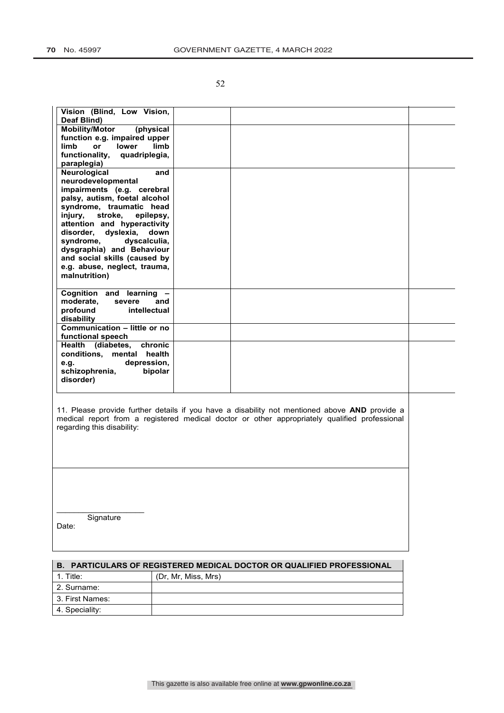| Vision (Blind, Low Vision,<br>Deaf Blind)                                                                                                                                                                                                                                                                                                                                               |  |
|-----------------------------------------------------------------------------------------------------------------------------------------------------------------------------------------------------------------------------------------------------------------------------------------------------------------------------------------------------------------------------------------|--|
| <b>Mobility/Motor</b><br>(physical<br>function e.g. impaired upper<br>limb<br>limb<br>lower<br>or<br>functionality,<br>quadriplegia,<br>paraplegia)                                                                                                                                                                                                                                     |  |
| <b>Neurological</b><br>and<br>neurodevelopmental<br>impairments (e.g. cerebral<br>palsy, autism, foetal alcohol<br>syndrome, traumatic head<br>stroke,<br>injury,<br>epilepsy.<br>attention and hyperactivity<br>disorder, dyslexia,<br>down<br>dyscalculia,<br>syndrome,<br>dysgraphia) and Behaviour<br>and social skills (caused by<br>e.g. abuse, neglect, trauma,<br>malnutrition) |  |
| Cognition and learning -<br>moderate,<br>severe<br>and<br>profound<br>intellectual<br>disability                                                                                                                                                                                                                                                                                        |  |
| Communication - little or no<br>functional speech                                                                                                                                                                                                                                                                                                                                       |  |
| Health (diabetes,<br>chronic<br>health<br>conditions, mental<br>depression,<br>e.g.<br>schizophrenia,<br>bipolar<br>disorder)                                                                                                                                                                                                                                                           |  |
|                                                                                                                                                                                                                                                                                                                                                                                         |  |

11. Please provide further details if you have a disability not mentioned above **AND** provide a medical report from a registered medical doctor or other appropriately qualified professional regarding this disability:

**Signature** Date:

 $\overline{\phantom{a}}$  , which is a set of the set of the set of the set of the set of the set of the set of the set of the set of the set of the set of the set of the set of the set of the set of the set of the set of the set of th

| <b>B. PARTICULARS OF REGISTERED MEDICAL DOCTOR OR QUALIFIED PROFESSIONAL</b> |                     |  |  |
|------------------------------------------------------------------------------|---------------------|--|--|
| 1. Title:                                                                    | (Dr. Mr. Miss, Mrs) |  |  |
| l 2. Surname:                                                                |                     |  |  |
| l 3. First Names:                                                            |                     |  |  |
| 4. Speciality:                                                               |                     |  |  |